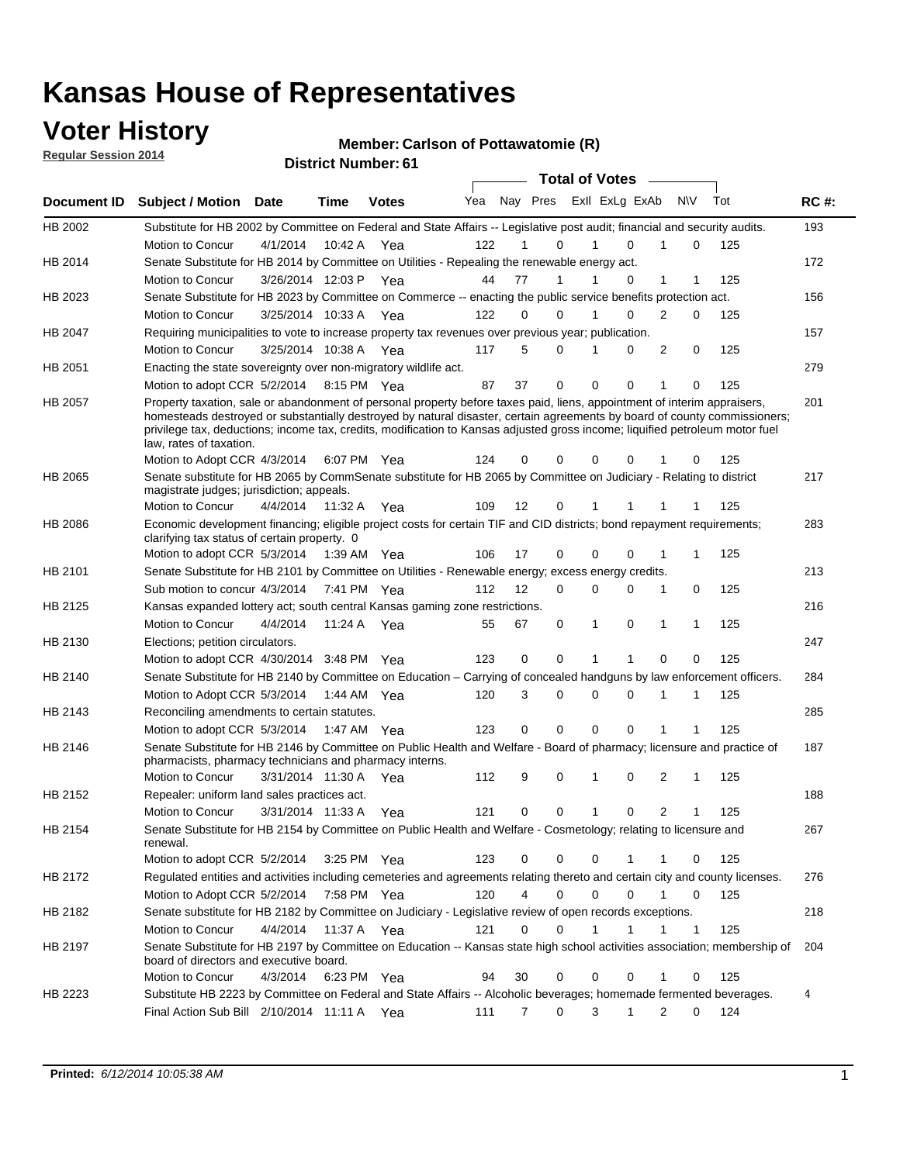### **Voter History**

**Regular Session 2014**

#### **Member: Carlson of Pottawatomie (R)**

|                | <b>DISTING MAILINGLY</b><br><b>Total of Votes</b>                                                                                                                                                                                                                                                                                                                                                                |                       |             |              |     |                   |                         |  |   |             |                     |     |             |  |
|----------------|------------------------------------------------------------------------------------------------------------------------------------------------------------------------------------------------------------------------------------------------------------------------------------------------------------------------------------------------------------------------------------------------------------------|-----------------------|-------------|--------------|-----|-------------------|-------------------------|--|---|-------------|---------------------|-----|-------------|--|
| Document ID    | <b>Subject / Motion Date</b>                                                                                                                                                                                                                                                                                                                                                                                     |                       | Time        | <b>Votes</b> | Yea |                   | Nay Pres Exll ExLg ExAb |  |   |             | <b>NV</b>           | Tot | <b>RC#:</b> |  |
| HB 2002        | Substitute for HB 2002 by Committee on Federal and State Affairs -- Legislative post audit; financial and security audits.                                                                                                                                                                                                                                                                                       |                       |             |              |     |                   |                         |  |   |             |                     |     | 193         |  |
|                | Motion to Concur                                                                                                                                                                                                                                                                                                                                                                                                 | 4/1/2014              | 10:42 A     | Yea          | 122 |                   | 0                       |  |   | 0           | $\Omega$            | 125 |             |  |
| HB 2014        | Senate Substitute for HB 2014 by Committee on Utilities - Repealing the renewable energy act.                                                                                                                                                                                                                                                                                                                    |                       |             |              |     |                   |                         |  |   |             |                     |     | 172         |  |
|                | Motion to Concur                                                                                                                                                                                                                                                                                                                                                                                                 | 3/26/2014 12:03 P Yea |             |              | 44  | 77                | 1                       |  |   | 0           | 1<br>1              | 125 |             |  |
| HB 2023        | Senate Substitute for HB 2023 by Committee on Commerce -- enacting the public service benefits protection act.                                                                                                                                                                                                                                                                                                   |                       |             |              |     |                   |                         |  |   |             |                     |     | 156         |  |
|                | Motion to Concur                                                                                                                                                                                                                                                                                                                                                                                                 | 3/25/2014 10:33 A Yea |             |              | 122 | 0                 | 0                       |  | 1 | 0           | $\overline{2}$<br>0 | 125 |             |  |
| <b>HB 2047</b> | Requiring municipalities to vote to increase property tax revenues over previous year; publication.                                                                                                                                                                                                                                                                                                              |                       |             |              |     |                   |                         |  |   |             |                     |     | 157         |  |
|                | Motion to Concur                                                                                                                                                                                                                                                                                                                                                                                                 | 3/25/2014 10:38 A Yea |             |              | 117 | 5                 | 0                       |  |   | 0           | 2<br>0              | 125 |             |  |
| HB 2051        | Enacting the state sovereignty over non-migratory wildlife act.                                                                                                                                                                                                                                                                                                                                                  |                       |             |              |     |                   |                         |  |   |             |                     |     | 279         |  |
|                | Motion to adopt CCR 5/2/2014                                                                                                                                                                                                                                                                                                                                                                                     |                       | 8:15 PM Yea |              | 87  | 37                | $\mathbf 0$             |  | 0 | 0           | 1<br>0              | 125 |             |  |
| HB 2057        | Property taxation, sale or abandonment of personal property before taxes paid, liens, appointment of interim appraisers,<br>homesteads destroyed or substantially destroyed by natural disaster, certain agreements by board of county commissioners;<br>privilege tax, deductions; income tax, credits, modification to Kansas adjusted gross income; liquified petroleum motor fuel<br>law, rates of taxation. |                       |             |              |     |                   |                         |  |   |             |                     |     | 201         |  |
|                | Motion to Adopt CCR 4/3/2014                                                                                                                                                                                                                                                                                                                                                                                     |                       |             | 6:07 PM Yea  | 124 | 0                 | 0                       |  | 0 | 0           | 0                   | 125 |             |  |
| HB 2065        | Senate substitute for HB 2065 by CommSenate substitute for HB 2065 by Committee on Judiciary - Relating to district<br>magistrate judges; jurisdiction; appeals.                                                                                                                                                                                                                                                 |                       |             |              |     |                   |                         |  |   |             |                     |     | 217         |  |
|                | Motion to Concur                                                                                                                                                                                                                                                                                                                                                                                                 | 4/4/2014              | 11:32 A     | Yea          | 109 | $12 \overline{ }$ | 0                       |  | 1 | 1           | 1<br>1              | 125 |             |  |
| <b>HB 2086</b> | Economic development financing; eligible project costs for certain TIF and CID districts; bond repayment requirements;<br>clarifying tax status of certain property. 0                                                                                                                                                                                                                                           |                       |             |              |     |                   |                         |  |   |             |                     |     | 283         |  |
|                | Motion to adopt CCR 5/3/2014                                                                                                                                                                                                                                                                                                                                                                                     |                       | 1:39 AM Yea |              | 106 | 17                | 0                       |  | 0 | $\Omega$    | 1                   | 125 |             |  |
| HB 2101        | Senate Substitute for HB 2101 by Committee on Utilities - Renewable energy; excess energy credits.                                                                                                                                                                                                                                                                                                               |                       |             |              |     |                   |                         |  |   |             |                     |     | 213         |  |
|                | Sub motion to concur 4/3/2014                                                                                                                                                                                                                                                                                                                                                                                    |                       |             | 7:41 PM Yea  | 112 | 12                | 0                       |  | 0 | 0           | 1<br>0              | 125 |             |  |
| HB 2125        | Kansas expanded lottery act; south central Kansas gaming zone restrictions.                                                                                                                                                                                                                                                                                                                                      |                       |             |              |     |                   |                         |  |   |             |                     |     | 216         |  |
|                | Motion to Concur                                                                                                                                                                                                                                                                                                                                                                                                 | 4/4/2014              | 11:24 A     | Yea          | 55  | 67                | 0                       |  | 1 | 0           | 1<br>$\mathbf 1$    | 125 |             |  |
| HB 2130        | Elections; petition circulators.                                                                                                                                                                                                                                                                                                                                                                                 |                       |             |              |     |                   |                         |  |   |             |                     |     | 247         |  |
|                | Motion to adopt CCR 4/30/2014 3:48 PM Yea                                                                                                                                                                                                                                                                                                                                                                        |                       |             |              | 123 | 0                 | 0                       |  | 1 | 1           | 0<br>0              | 125 |             |  |
| HB 2140        | Senate Substitute for HB 2140 by Committee on Education – Carrying of concealed handguns by law enforcement officers.                                                                                                                                                                                                                                                                                            |                       |             |              |     |                   |                         |  |   |             |                     |     | 284         |  |
|                | Motion to Adopt CCR 5/3/2014                                                                                                                                                                                                                                                                                                                                                                                     |                       |             | 1:44 AM Yea  | 120 | 3                 | 0                       |  | 0 | 0           | 1<br>1              | 125 |             |  |
| HB 2143        | Reconciling amendments to certain statutes.                                                                                                                                                                                                                                                                                                                                                                      |                       |             |              |     |                   |                         |  |   |             |                     |     | 285         |  |
|                | Motion to adopt CCR 5/3/2014                                                                                                                                                                                                                                                                                                                                                                                     |                       |             | 1:47 AM Yea  | 123 | 0                 | 0                       |  | 0 | 0           |                     | 125 |             |  |
| HB 2146        | Senate Substitute for HB 2146 by Committee on Public Health and Welfare - Board of pharmacy; licensure and practice of<br>pharmacists, pharmacy technicians and pharmacy interns.                                                                                                                                                                                                                                |                       |             |              |     |                   |                         |  |   |             |                     |     | 187         |  |
|                | Motion to Concur                                                                                                                                                                                                                                                                                                                                                                                                 | 3/31/2014 11:30 A     |             | Yea          | 112 | 9                 | 0                       |  | 1 | 0           | 2<br>1              | 125 |             |  |
| HB 2152        | Repealer: uniform land sales practices act.                                                                                                                                                                                                                                                                                                                                                                      |                       |             |              |     |                   |                         |  |   |             |                     |     | 188         |  |
|                | Motion to Concur                                                                                                                                                                                                                                                                                                                                                                                                 | 3/31/2014 11:33 A     |             | Yea          | 121 | 0                 | 0                       |  | 1 | 0           | 2<br>1              | 125 |             |  |
| HB 2154        | Senate Substitute for HB 2154 by Committee on Public Health and Welfare - Cosmetology; relating to licensure and<br>renewal.                                                                                                                                                                                                                                                                                     |                       |             |              |     |                   |                         |  |   |             |                     |     | 267         |  |
|                | Motion to adopt CCR 5/2/2014                                                                                                                                                                                                                                                                                                                                                                                     |                       |             | 3:25 PM Yea  | 123 | 0                 | 0                       |  | 0 | 1           | 0<br>1              | 125 |             |  |
| HB 2172        | Regulated entities and activities including cemeteries and agreements relating thereto and certain city and county licenses.                                                                                                                                                                                                                                                                                     |                       |             |              |     |                   |                         |  |   |             |                     |     | 276         |  |
|                | Motion to Adopt CCR 5/2/2014                                                                                                                                                                                                                                                                                                                                                                                     |                       |             | 7:58 PM Yea  | 120 |                   | 4<br>$\mathbf 0$        |  | 0 | $\mathbf 0$ | 1<br>0              | 125 |             |  |
| HB 2182        | Senate substitute for HB 2182 by Committee on Judiciary - Legislative review of open records exceptions.                                                                                                                                                                                                                                                                                                         |                       |             |              |     |                   |                         |  |   |             |                     |     | 218         |  |
|                | Motion to Concur                                                                                                                                                                                                                                                                                                                                                                                                 | 4/4/2014              | 11:37 A Yea |              | 121 | 0                 | $\mathbf 0$             |  | 1 | 1           | $\mathbf{1}$<br>1   | 125 |             |  |
| HB 2197        | Senate Substitute for HB 2197 by Committee on Education -- Kansas state high school activities association; membership of<br>board of directors and executive board.                                                                                                                                                                                                                                             |                       |             |              |     |                   |                         |  |   |             |                     |     | 204         |  |
|                | Motion to Concur                                                                                                                                                                                                                                                                                                                                                                                                 | 4/3/2014              |             | 6:23 PM Yea  | 94  | 30                | 0                       |  | 0 | 0           | $\mathbf 0$         | 125 |             |  |
| HB 2223        | Substitute HB 2223 by Committee on Federal and State Affairs -- Alcoholic beverages; homemade fermented beverages.                                                                                                                                                                                                                                                                                               |                       |             |              |     |                   |                         |  |   |             |                     |     | 4           |  |
|                | Final Action Sub Bill 2/10/2014 11:11 A Yea                                                                                                                                                                                                                                                                                                                                                                      |                       |             |              | 111 | 7                 | 0                       |  | 3 | 1           | 2<br>0              | 124 |             |  |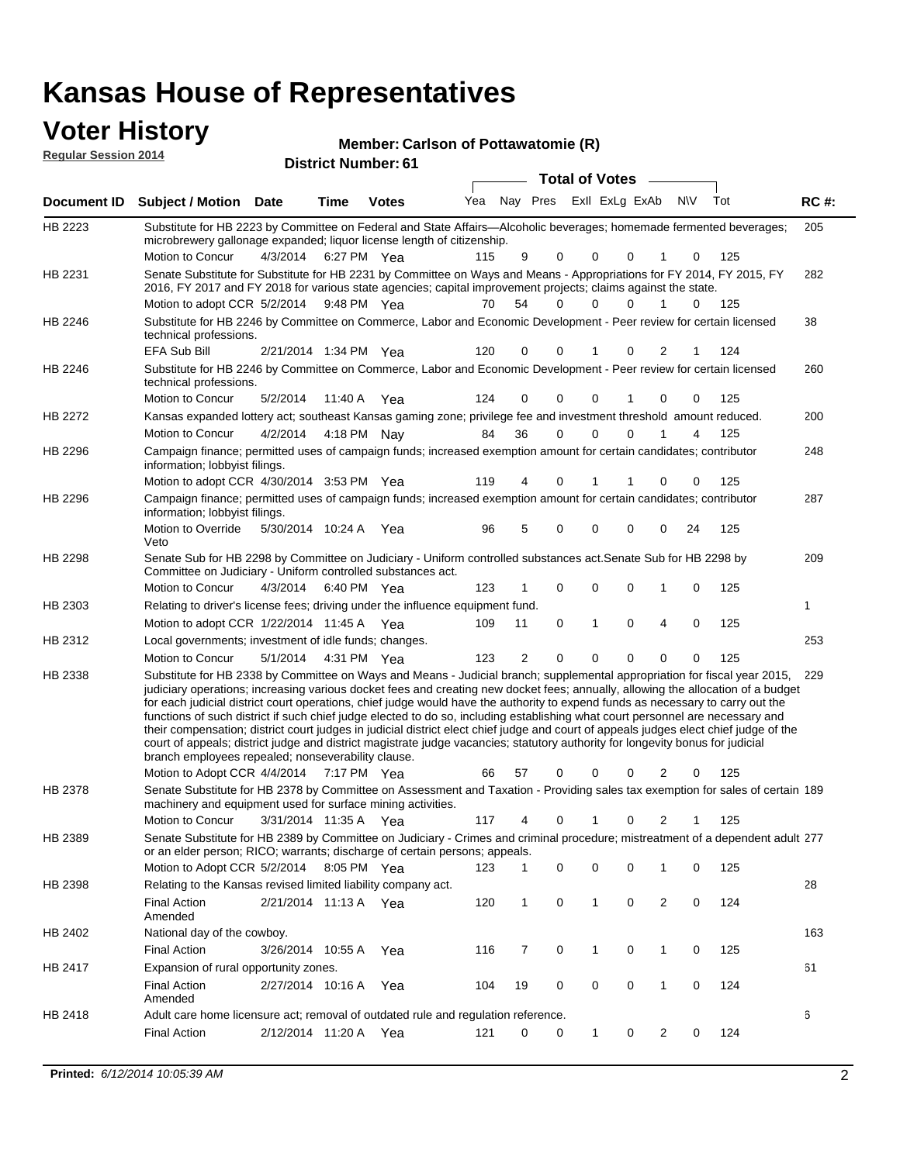| <b>Voter History</b><br><b>Regular Session 2014</b> |                                                                                                                                                                                                                                                                                                                                                                                                                                                                                                                                                                                                                                                                                 |                       |             | Member: Carlson of Pottawatomie (R)<br><b>District Number: 61</b> |     |                |          |                  |                |              |                |             |     |             |
|-----------------------------------------------------|---------------------------------------------------------------------------------------------------------------------------------------------------------------------------------------------------------------------------------------------------------------------------------------------------------------------------------------------------------------------------------------------------------------------------------------------------------------------------------------------------------------------------------------------------------------------------------------------------------------------------------------------------------------------------------|-----------------------|-------------|-------------------------------------------------------------------|-----|----------------|----------|------------------|----------------|--------------|----------------|-------------|-----|-------------|
|                                                     |                                                                                                                                                                                                                                                                                                                                                                                                                                                                                                                                                                                                                                                                                 |                       |             |                                                                   |     |                |          | Total of Votes – |                |              |                |             |     |             |
| Document ID                                         | <b>Subject / Motion Date</b>                                                                                                                                                                                                                                                                                                                                                                                                                                                                                                                                                                                                                                                    |                       | Time        | <b>Votes</b>                                                      | Yea |                | Nay Pres |                  | Exll ExLg ExAb |              |                | <b>NV</b>   | Tot | <b>RC#:</b> |
| HB 2223                                             | Substitute for HB 2223 by Committee on Federal and State Affairs—Alcoholic beverages; homemade fermented beverages;<br>microbrewery gallonage expanded; liquor license length of citizenship.<br>Motion to Concur                                                                                                                                                                                                                                                                                                                                                                                                                                                               | 4/3/2014              | 6:27 PM Yea |                                                                   | 115 | 9              | 0        |                  | 0              | 0            |                | 0           | 125 | 205         |
| HB 2231                                             | Senate Substitute for Substitute for HB 2231 by Committee on Ways and Means - Appropriations for FY 2014, FY 2015, FY<br>2016, FY 2017 and FY 2018 for various state agencies; capital improvement projects; claims against the state.<br>Motion to adopt CCR 5/2/2014 9:48 PM Yea                                                                                                                                                                                                                                                                                                                                                                                              |                       |             |                                                                   | 70  | 54             | $\Omega$ |                  | $\Omega$       | $\Omega$     | 1              | $\Omega$    | 125 | 282         |
| HB 2246                                             | Substitute for HB 2246 by Committee on Commerce, Labor and Economic Development - Peer review for certain licensed<br>technical professions.                                                                                                                                                                                                                                                                                                                                                                                                                                                                                                                                    |                       |             |                                                                   |     |                |          |                  |                |              |                |             |     | 38          |
| HB 2246                                             | <b>EFA Sub Bill</b><br>Substitute for HB 2246 by Committee on Commerce, Labor and Economic Development - Peer review for certain licensed<br>technical professions.                                                                                                                                                                                                                                                                                                                                                                                                                                                                                                             | 2/21/2014 1:34 PM Yea |             |                                                                   | 120 | $\mathbf 0$    | 0        |                  | 1              | $\mathbf 0$  | $\overline{2}$ | 1           | 124 | 260         |
|                                                     | Motion to Concur                                                                                                                                                                                                                                                                                                                                                                                                                                                                                                                                                                                                                                                                | 5/2/2014              | 11:40 A Yea |                                                                   | 124 | $\Omega$       | $\Omega$ |                  | 0              |              | $\Omega$       | 0           | 125 |             |
| HB 2272                                             | Kansas expanded lottery act; southeast Kansas gaming zone; privilege fee and investment threshold amount reduced.                                                                                                                                                                                                                                                                                                                                                                                                                                                                                                                                                               |                       |             |                                                                   |     |                |          |                  |                |              |                |             |     | 200         |
|                                                     | Motion to Concur                                                                                                                                                                                                                                                                                                                                                                                                                                                                                                                                                                                                                                                                | 4/2/2014              | 4:18 PM Nay |                                                                   | 84  | 36             | 0        |                  | 0              | $\mathbf{0}$ |                | 4           | 125 |             |
| HB 2296                                             | Campaign finance; permitted uses of campaign funds; increased exemption amount for certain candidates; contributor<br>information; lobbyist filings.                                                                                                                                                                                                                                                                                                                                                                                                                                                                                                                            |                       |             |                                                                   |     |                |          |                  |                |              |                |             |     | 248         |
|                                                     | Motion to adopt CCR 4/30/2014 3:53 PM Yea                                                                                                                                                                                                                                                                                                                                                                                                                                                                                                                                                                                                                                       |                       |             |                                                                   | 119 | 4              |          | 0                | 1              |              | $\mathbf 0$    | $\mathbf 0$ | 125 |             |
| HB 2296                                             | Campaign finance; permitted uses of campaign funds; increased exemption amount for certain candidates; contributor<br>information; lobbyist filings.                                                                                                                                                                                                                                                                                                                                                                                                                                                                                                                            |                       |             |                                                                   |     |                |          |                  |                |              |                |             |     | 287         |
|                                                     | Motion to Override<br>Veto                                                                                                                                                                                                                                                                                                                                                                                                                                                                                                                                                                                                                                                      | 5/30/2014 10:24 A Yea |             |                                                                   | 96  | 5              | $\Omega$ |                  | 0              | $\mathbf 0$  | $\Omega$       | 24          | 125 |             |
| HB 2298                                             | Senate Sub for HB 2298 by Committee on Judiciary - Uniform controlled substances act. Senate Sub for HB 2298 by<br>Committee on Judiciary - Uniform controlled substances act.                                                                                                                                                                                                                                                                                                                                                                                                                                                                                                  |                       |             |                                                                   |     |                |          |                  |                |              |                |             |     | 209         |
|                                                     | Motion to Concur                                                                                                                                                                                                                                                                                                                                                                                                                                                                                                                                                                                                                                                                | 4/3/2014              | 6:40 PM Yea |                                                                   | 123 | 1              | 0        |                  | 0              | 0            | 1              | 0           | 125 |             |
| HB 2303                                             | Relating to driver's license fees; driving under the influence equipment fund.                                                                                                                                                                                                                                                                                                                                                                                                                                                                                                                                                                                                  |                       |             |                                                                   |     |                |          |                  |                |              |                |             |     | 1           |
|                                                     | Motion to adopt CCR 1/22/2014 11:45 A Yea                                                                                                                                                                                                                                                                                                                                                                                                                                                                                                                                                                                                                                       |                       |             |                                                                   | 109 | 11             |          | 0                | $\mathbf{1}$   | $\mathbf 0$  | 4              | $\mathbf 0$ | 125 |             |
| HB 2312                                             | Local governments; investment of idle funds; changes.                                                                                                                                                                                                                                                                                                                                                                                                                                                                                                                                                                                                                           |                       |             |                                                                   |     |                |          |                  |                |              |                |             |     | 253         |
|                                                     | Motion to Concur                                                                                                                                                                                                                                                                                                                                                                                                                                                                                                                                                                                                                                                                | 5/1/2014              | 4:31 PM Yea |                                                                   | 123 | $\overline{2}$ |          | $\Omega$         | $\Omega$       | $\Omega$     | $\Omega$       | $\Omega$    | 125 |             |
| HB 2338                                             | Substitute for HB 2338 by Committee on Ways and Means - Judicial branch; supplemental appropriation for fiscal year 2015, 229<br>judiciary operations; increasing various docket fees and creating new docket fees; annually, allowing the allocation of a budget<br>for each judicial district court operations, chief judge would have the authority to expend funds as necessary to carry out the<br>functions of such district if such chief judge elected to do so, including establishing what court personnel are necessary and<br>their compensation; district court judges in judicial district elect chief judge and court of appeals judges elect chief judge of the |                       |             |                                                                   |     |                |          |                  |                |              |                |             |     |             |

Motion to Adopt CCR 4/4/2014 7:17 PM Yea 66 57 0 0 0 2 0 125 court of appeals; district judge and district magistrate judge vacancies; statutory authority for longevity bonus for judicial branch employees repealed; nonseverability clause.

Senate Substitute for HB 2378 by Committee on Assessment and Taxation - Providing sales tax exemption for sales of certain 189 HB 2378 machinery and equipment used for surface mining activities.

3/31/2014 Motion to Concur Yea 125 11:35 A 117 4 0 0 21 1 Senate Substitute for HB 2389 by Committee on Judiciary - Crimes and criminal procedure; mistreatment of a dependent adult 277 Motion to Adopt CCR 5/2/2014 8:05 PM Yea 123 1 0 0 0 1 0 125 HB 2389 or an elder person; RICO; warrants; discharge of certain persons; appeals.  $\overline{B}$ 

| HB 2398        | Relating to the Kansas revised limited liability company act.                     |           |         |     |     |    |   |          |  |     | 28  |
|----------------|-----------------------------------------------------------------------------------|-----------|---------|-----|-----|----|---|----------|--|-----|-----|
|                | <b>Final Action</b><br>Amended                                                    | 2/21/2014 | 11:13A  | Yea | 120 |    |   | 0        |  | 124 |     |
| HB 2402        | National day of the cowboy.                                                       |           |         |     |     |    |   |          |  |     | 163 |
|                | Final Action                                                                      | 3/26/2014 | 10:55 A | Yea | 116 |    |   | 0        |  | 125 |     |
| <b>HB 2417</b> | Expansion of rural opportunity zones.                                             |           |         |     |     |    |   |          |  |     | 61  |
|                | Final Action<br>Amended                                                           | 2/27/2014 | 10:16 A | Yea | 104 | 19 |   | $\Omega$ |  | 124 |     |
| HB 2418        | Adult care home licensure act; removal of outdated rule and regulation reference. |           |         |     |     |    |   |          |  |     |     |
|                | <b>Final Action</b>                                                               | 2/12/2014 | 11:20 A | Yea | 121 |    | 0 |          |  | 124 |     |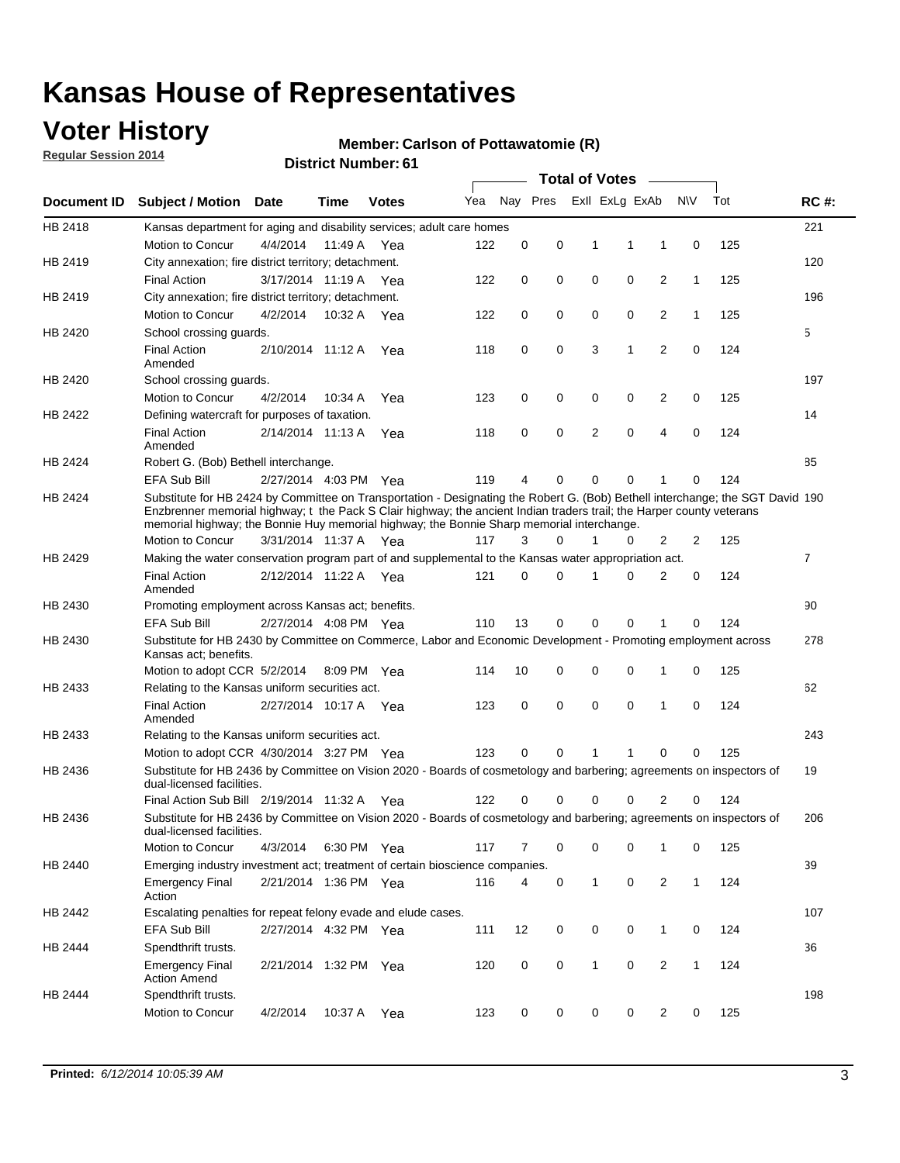### **Voter History**

**Regular Session 2014**

#### **Member: Carlson of Pottawatomie (R)**

|             | <b>DISTRICT MAILINGLE OF</b><br><b>Total of Votes</b>                                                                                                                                                                                                                                                                                                |                       |             |              |     |          |          |              |                |                |              |     |                |  |
|-------------|------------------------------------------------------------------------------------------------------------------------------------------------------------------------------------------------------------------------------------------------------------------------------------------------------------------------------------------------------|-----------------------|-------------|--------------|-----|----------|----------|--------------|----------------|----------------|--------------|-----|----------------|--|
| Document ID | <b>Subject / Motion</b>                                                                                                                                                                                                                                                                                                                              | Date                  | Time        | <b>Votes</b> | Yea |          | Nay Pres |              | Exll ExLg ExAb |                | N\V          | Tot | <b>RC#:</b>    |  |
| HB 2418     | Kansas department for aging and disability services; adult care homes                                                                                                                                                                                                                                                                                |                       |             |              |     |          |          |              |                |                |              |     | 221            |  |
|             | <b>Motion to Concur</b>                                                                                                                                                                                                                                                                                                                              | 4/4/2014              | 11:49 A     | Yea          | 122 | 0        | 0        | 1            | 1              | 1              | 0            | 125 |                |  |
| HB 2419     | City annexation; fire district territory; detachment.                                                                                                                                                                                                                                                                                                |                       |             |              |     |          |          |              |                |                |              |     | 120            |  |
|             | <b>Final Action</b>                                                                                                                                                                                                                                                                                                                                  | 3/17/2014 11:19 A     |             | Yea          | 122 | 0        | 0        | 0            | 0              | $\overline{2}$ | $\mathbf{1}$ | 125 |                |  |
| HB 2419     | City annexation; fire district territory; detachment.                                                                                                                                                                                                                                                                                                |                       |             |              |     |          |          |              |                |                |              |     | 196            |  |
|             | Motion to Concur                                                                                                                                                                                                                                                                                                                                     | 4/2/2014              | 10:32 A     | Yea          | 122 | 0        | 0        | 0            | 0              | $\overline{2}$ | 1            | 125 |                |  |
| HB 2420     | School crossing quards.                                                                                                                                                                                                                                                                                                                              |                       |             |              |     |          |          |              |                |                |              |     | 5              |  |
|             | <b>Final Action</b><br>Amended                                                                                                                                                                                                                                                                                                                       | 2/10/2014 11:12 A     |             | Yea          | 118 | 0        | 0        | 3            | 1              | $\overline{2}$ | 0            | 124 |                |  |
| HB 2420     | School crossing guards.                                                                                                                                                                                                                                                                                                                              |                       |             |              |     |          |          |              |                |                |              |     | 197            |  |
|             | Motion to Concur                                                                                                                                                                                                                                                                                                                                     | 4/2/2014              | 10:34 A     | Yea          | 123 | 0        | 0        | 0            | 0              | 2              | 0            | 125 |                |  |
| HB 2422     | Defining watercraft for purposes of taxation.                                                                                                                                                                                                                                                                                                        |                       |             |              |     |          |          |              |                |                |              |     | 14             |  |
|             | <b>Final Action</b><br>Amended                                                                                                                                                                                                                                                                                                                       | 2/14/2014 11:13 A     |             | Yea          | 118 | 0        | 0        | 2            | $\mathbf 0$    | $\overline{4}$ | 0            | 124 |                |  |
| HB 2424     | Robert G. (Bob) Bethell interchange.                                                                                                                                                                                                                                                                                                                 |                       |             |              |     |          |          |              |                |                |              |     | 85             |  |
|             | <b>EFA Sub Bill</b>                                                                                                                                                                                                                                                                                                                                  | 2/27/2014 4:03 PM Yea |             |              | 119 | 4        | 0        | $\Omega$     | $\Omega$       | 1              | 0            | 124 |                |  |
| HB 2424     | Substitute for HB 2424 by Committee on Transportation - Designating the Robert G. (Bob) Bethell interchange; the SGT David 190<br>Enzbrenner memorial highway; t the Pack S Clair highway; the ancient Indian traders trail; the Harper county veterans<br>memorial highway; the Bonnie Huy memorial highway; the Bonnie Sharp memorial interchange. |                       |             |              |     |          |          |              |                |                |              |     |                |  |
|             | Motion to Concur                                                                                                                                                                                                                                                                                                                                     | 3/31/2014 11:37 A Yea |             |              | 117 | 3        | $\Omega$ | 1            | 0              | $\overline{2}$ | 2            | 125 |                |  |
| HB 2429     | Making the water conservation program part of and supplemental to the Kansas water appropriation act.                                                                                                                                                                                                                                                |                       |             |              |     |          |          |              |                |                |              |     | $\overline{7}$ |  |
|             | <b>Final Action</b><br>Amended                                                                                                                                                                                                                                                                                                                       | 2/12/2014 11:22 A Yea |             |              | 121 | $\Omega$ | $\Omega$ | 1            | 0              | $\overline{2}$ | $\mathbf 0$  | 124 |                |  |
| HB 2430     | Promoting employment across Kansas act; benefits.                                                                                                                                                                                                                                                                                                    |                       |             |              |     |          |          |              |                |                |              |     | 90             |  |
|             | <b>EFA Sub Bill</b>                                                                                                                                                                                                                                                                                                                                  | 2/27/2014 4:08 PM Yea |             |              | 110 | 13       | 0        | $\mathbf 0$  | 0              |                | 0            | 124 |                |  |
| HB 2430     | Substitute for HB 2430 by Committee on Commerce, Labor and Economic Development - Promoting employment across                                                                                                                                                                                                                                        |                       |             |              |     |          |          |              |                |                |              |     | 278            |  |
|             | Kansas act; benefits.<br>Motion to adopt CCR 5/2/2014                                                                                                                                                                                                                                                                                                |                       | 8:09 PM Yea |              | 114 | 10       | 0        | 0            | 0              | 1              | 0            | 125 |                |  |
| HB 2433     | Relating to the Kansas uniform securities act.                                                                                                                                                                                                                                                                                                       |                       |             |              |     |          |          |              |                |                |              |     | 62             |  |
|             | <b>Final Action</b><br>Amended                                                                                                                                                                                                                                                                                                                       | 2/27/2014 10:17 A Yea |             |              | 123 | 0        | 0        | $\mathbf 0$  | $\mathbf 0$    | 1              | 0            | 124 |                |  |
| HB 2433     | Relating to the Kansas uniform securities act.                                                                                                                                                                                                                                                                                                       |                       |             |              |     |          |          |              |                |                |              |     | 243            |  |
|             | Motion to adopt CCR 4/30/2014 3:27 PM Yea                                                                                                                                                                                                                                                                                                            |                       |             |              | 123 | $\Omega$ | $\Omega$ | 1            | 1              | $\Omega$       | 0            | 125 |                |  |
| HB 2436     | Substitute for HB 2436 by Committee on Vision 2020 - Boards of cosmetology and barbering; agreements on inspectors of<br>dual-licensed facilities.                                                                                                                                                                                                   |                       |             |              |     |          |          |              |                |                |              |     | 19             |  |
|             | Final Action Sub Bill 2/19/2014 11:32 A                                                                                                                                                                                                                                                                                                              |                       |             | Yea          | 122 | ი        | 0        | O            | 0              | 2              | 0            | 124 |                |  |
| HB 2436     | Substitute for HB 2436 by Committee on Vision 2020 - Boards of cosmetology and barbering; agreements on inspectors of<br>dual-licensed facilities.                                                                                                                                                                                                   |                       |             |              |     |          |          |              |                |                |              |     | 206            |  |
|             | Motion to Concur                                                                                                                                                                                                                                                                                                                                     | 4/3/2014              | 6:30 PM Yea |              | 117 | 7        | 0        | 0            | 0              | 1              | 0            | 125 |                |  |
| HB 2440     | Emerging industry investment act; treatment of certain bioscience companies.                                                                                                                                                                                                                                                                         |                       |             |              |     |          |          |              |                |                |              |     | 39             |  |
|             | <b>Emergency Final</b><br>Action                                                                                                                                                                                                                                                                                                                     | 2/21/2014 1:36 PM Yea |             |              | 116 | 4        | 0        | $\mathbf{1}$ | 0              | 2              | $\mathbf{1}$ | 124 |                |  |
| HB 2442     | Escalating penalties for repeat felony evade and elude cases.                                                                                                                                                                                                                                                                                        |                       |             |              |     |          |          |              |                |                |              |     | 107            |  |
|             | EFA Sub Bill                                                                                                                                                                                                                                                                                                                                         | 2/27/2014 4:32 PM Yea |             |              | 111 | 12       | 0        | 0            | 0              | $\mathbf{1}$   | 0            | 124 |                |  |
| HB 2444     | Spendthrift trusts.                                                                                                                                                                                                                                                                                                                                  |                       |             |              |     |          |          |              |                |                |              |     | 36             |  |
|             | <b>Emergency Final</b><br><b>Action Amend</b>                                                                                                                                                                                                                                                                                                        | 2/21/2014 1:32 PM Yea |             |              | 120 | 0        | 0        | $\mathbf{1}$ | 0              | $\overline{2}$ | $\mathbf{1}$ | 124 |                |  |
| HB 2444     | Spendthrift trusts.                                                                                                                                                                                                                                                                                                                                  |                       |             |              |     |          |          |              |                |                |              |     | 198            |  |
|             | Motion to Concur                                                                                                                                                                                                                                                                                                                                     | 4/2/2014              | 10:37 A Yea |              | 123 | 0        | 0        | 0            | 0              | $\overline{2}$ | 0            | 125 |                |  |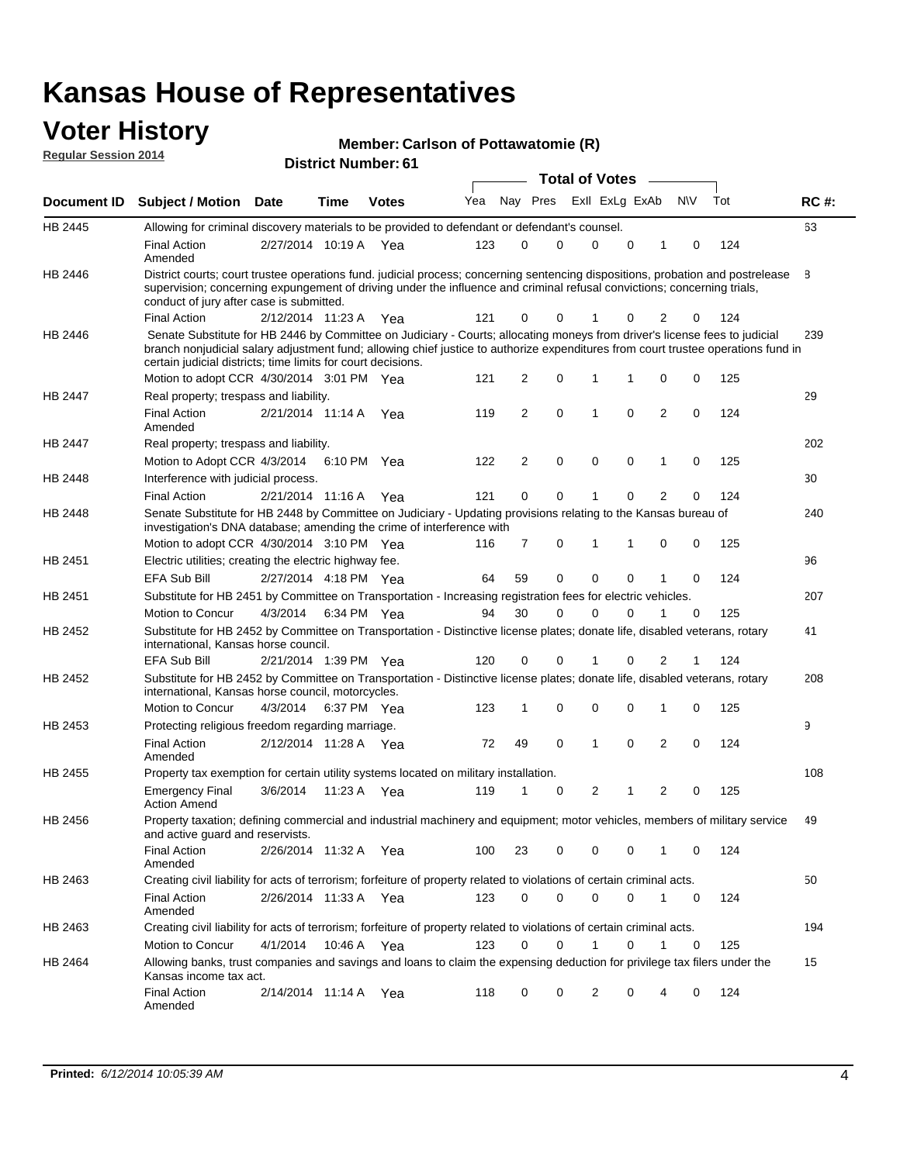### **Voter History**

#### **Member: Carlson of Pottawatomie (R)**

**Document ID Subject / Motion Date Time Votes** Yea Nay Pres ExII ExLg ExAb N\V Tot RC #: **District Number: 61 Date Votes Total of Votes Time Regular Session 2014** ExII ExLg ExAb 63 2/27/2014 Final Action Yea 124 10:19 A 123 0 0 0 10 0 HB 2445 Amended Allowing for criminal discovery materials to be provided to defendant or defendant's counsel. 8 2/12/2014 Final Action Yea 124 11:23 A 121 0 0 0 20 1 HB 2446 District courts; court trustee operations fund. judicial process; concerning sentencing dispositions, probation and postrelease supervision; concerning expungement of driving under the influence and criminal refusal convictions; concerning trials, conduct of jury after case is submitted. 239 Motion to adopt CCR 4/30/2014 3:01 PM Yea  $121 \quad 2 \quad 0 \quad 1 \quad 1 \quad 0 \quad 0 \quad 125$ HB 2446 Senate Substitute for HB 2446 by Committee on Judiciary - Courts; allocating moneys from driver's license fees to judicial branch nonjudicial salary adjustment fund; allowing chief justice to authorize expenditures from court trustee operations fund in certain judicial districts; time limits for court decisions. 29 2/21/2014 Final Action Yea 124 11:14 A 119 2 0 0 20 1 HB 2447 Amended Real property; trespass and liability. 202 Motion to Adopt CCR 4/3/2014 6:10 PM Yea  $122$  2 0 0 0 1 0 125 HB 2447 Real property; trespass and liability. 30 2/21/2014 Final Action Yea 124 HB 2448 Interference with judicial process. 11:16 A 121 0 0 0 20 1 240 Motion to adopt CCR 4/30/2014 3:10 PM Yea  $116$  7 0 1 1 0 0 125 HB 2448 Senate Substitute for HB 2448 by Committee on Judiciary - Updating provisions relating to the Kansas bureau of investigation's DNA database; amending the crime of interference with 96 2/27/2014 EFA Sub Bill Yea 124 4:18 PM 64 59 0 0 10 0 HB 2451 Electric utilities; creating the electric highway fee. 207 4/3/2014 HB 2451 Motion to Concur Yea 125 6:34 PM 94 30 0 0 10 0 Substitute for HB 2451 by Committee on Transportation - Increasing registration fees for electric vehicles. 41 2/21/2014 EFA Sub Bill Yea 124 1:39 PM 120 0 0 0 21 1 HB 2452 Substitute for HB 2452 by Committee on Transportation - Distinctive license plates; donate life, disabled veterans, rotary international, Kansas horse council. 208 4/3/2014 Motion to Concur Yea 125 6:37 PM 123 1 0 0 10 0 HB 2452 Substitute for HB 2452 by Committee on Transportation - Distinctive license plates; donate life, disabled veterans, rotary international, Kansas horse council, motorcycles. 9 2/12/2014 Final Action Yea 124 11:28 A 72 49 0 0 20 1 HB 2453 Amended Protecting religious freedom regarding marriage. 108 3/6/2014 HB 2455 Emergency Final Yea 125 11:23 A 119 1 1 0 20 2 Action Amend Property tax exemption for certain utility systems located on military installation. 49 2/26/2014 Final Action Yea 124 11:32 A 100 23 0 0 10 0 HB 2456 Amended Property taxation; defining commercial and industrial machinery and equipment; motor vehicles, members of military service and active guard and reservists. 50 2/26/2014 Final Action Yea 124 11:33 A 123 0 0 0 10 0 HB 2463 Amended Creating civil liability for acts of terrorism; forfeiture of property related to violations of certain criminal acts. 194 4/1/2014 HB 2463 Motion to Concur 4/1/2014 10:46 A Yea 123 0 0 1 0 1 0 125 Creating civil liability for acts of terrorism; forfeiture of property related to violations of certain criminal acts. 10:46 A 15 2/14/2014 Final Action Yea 124 11:14 A 118 0 0 0 40 2 HB 2464 Amended Allowing banks, trust companies and savings and loans to claim the expensing deduction for privilege tax filers under the Kansas income tax act.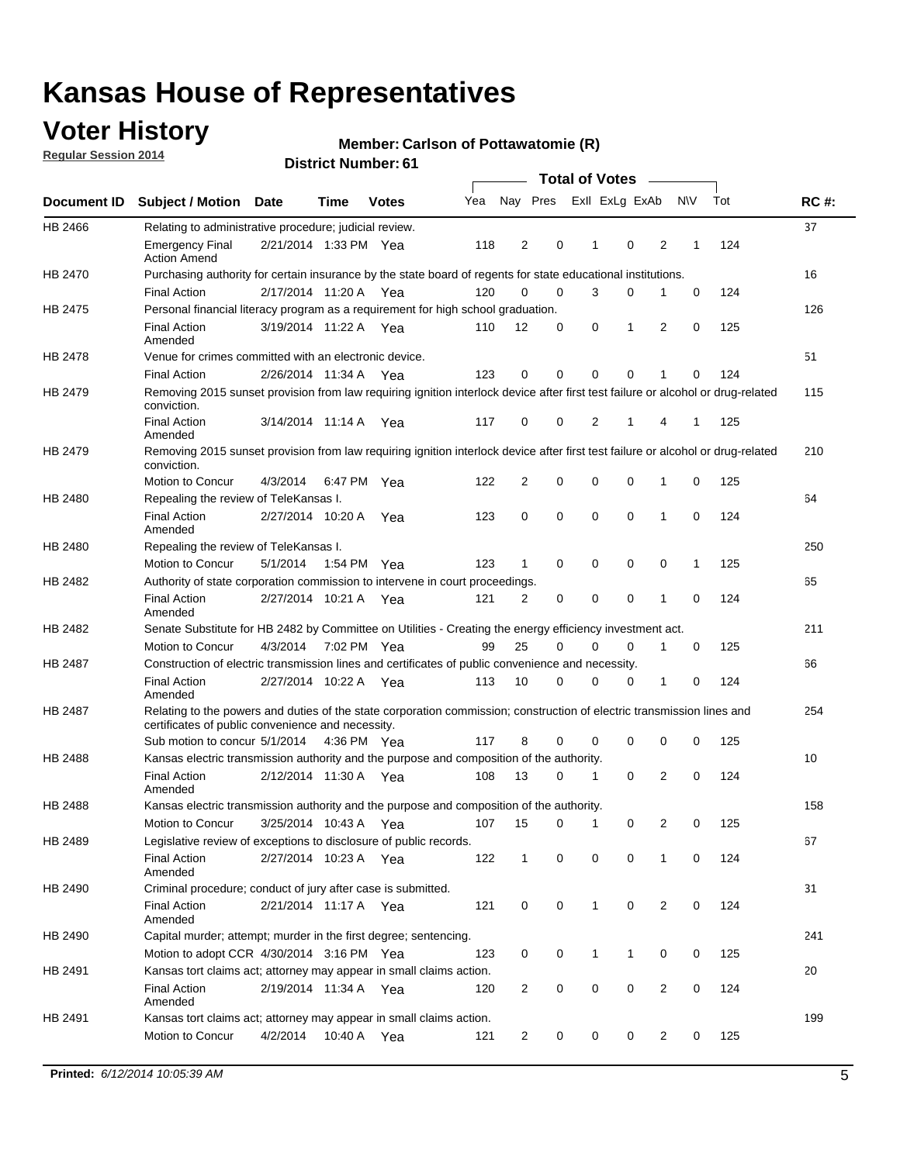### **Voter History**

**Regular Session 2014**

#### **Member: Carlson of Pottawatomie (R)**

|                |                                                                                                                                                                             |                       |         |              |     |                |          | <b>Total of Votes</b> |                |                |             |     |             |
|----------------|-----------------------------------------------------------------------------------------------------------------------------------------------------------------------------|-----------------------|---------|--------------|-----|----------------|----------|-----------------------|----------------|----------------|-------------|-----|-------------|
|                | Document ID Subject / Motion                                                                                                                                                | Date                  | Time    | <b>Votes</b> | Yea | Nay Pres       |          |                       | Exll ExLg ExAb |                | <b>NV</b>   | Tot | <b>RC#:</b> |
| HB 2466        | Relating to administrative procedure; judicial review.                                                                                                                      |                       |         |              |     |                |          |                       |                |                |             |     | 37          |
|                | <b>Emergency Final</b><br><b>Action Amend</b>                                                                                                                               | 2/21/2014 1:33 PM Yea |         |              | 118 | $\overline{2}$ | 0        | 1                     | $\mathbf 0$    | 2              | 1           | 124 |             |
| <b>HB 2470</b> | Purchasing authority for certain insurance by the state board of regents for state educational institutions.                                                                |                       |         |              |     |                |          |                       |                |                |             |     | 16          |
|                | <b>Final Action</b>                                                                                                                                                         | 2/17/2014 11:20 A Yea |         |              | 120 | 0              | 0        | 3                     | 0              | 1              | $\mathbf 0$ | 124 |             |
| HB 2475        | Personal financial literacy program as a requirement for high school graduation.                                                                                            |                       |         |              |     |                |          |                       |                |                |             |     | 126         |
|                | <b>Final Action</b><br>Amended                                                                                                                                              | 3/19/2014 11:22 A Yea |         |              | 110 | 12             | 0        | 0                     | 1              | 2              | 0           | 125 |             |
| HB 2478        | Venue for crimes committed with an electronic device.                                                                                                                       |                       |         |              |     |                |          |                       |                |                |             |     | 51          |
|                | <b>Final Action</b>                                                                                                                                                         | 2/26/2014 11:34 A     |         | Yea          | 123 | 0              | 0        | $\Omega$              | $\mathbf 0$    | 1              | 0           | 124 |             |
| HB 2479        | Removing 2015 sunset provision from law requiring ignition interlock device after first test failure or alcohol or drug-related<br>conviction.                              |                       |         |              |     |                |          |                       |                |                |             |     | 115         |
|                | <b>Final Action</b><br>Amended                                                                                                                                              | 3/14/2014 11:14 A     |         | Yea          | 117 | 0              | 0        | $\overline{2}$        | 1              | 4              | 1           | 125 |             |
| HB 2479        | Removing 2015 sunset provision from law requiring ignition interlock device after first test failure or alcohol or drug-related<br>conviction.                              |                       |         |              |     |                |          |                       |                |                |             |     | 210         |
|                | Motion to Concur                                                                                                                                                            | 4/3/2014              |         | 6:47 PM Yea  | 122 | $\overline{2}$ | 0        | $\mathbf 0$           | 0              | 1              | 0           | 125 |             |
| HB 2480        | Repealing the review of TeleKansas I.                                                                                                                                       |                       |         |              |     |                |          |                       |                |                |             |     | 64          |
|                | <b>Final Action</b><br>Amended                                                                                                                                              | 2/27/2014 10:20 A     |         | Yea          | 123 | 0              | 0        | $\mathbf 0$           | $\mathbf 0$    | 1              | 0           | 124 |             |
| HB 2480        | Repealing the review of TeleKansas I.                                                                                                                                       |                       |         |              |     |                |          |                       |                |                |             |     | 250         |
|                | Motion to Concur                                                                                                                                                            | 5/1/2014              |         | 1:54 PM Yea  | 123 | 1              | 0        | 0                     | 0              | 0              | 1           | 125 |             |
| HB 2482        | Authority of state corporation commission to intervene in court proceedings.                                                                                                |                       |         |              |     |                |          |                       |                |                |             |     | 65          |
|                | <b>Final Action</b><br>Amended                                                                                                                                              | 2/27/2014 10:21 A     |         | Yea          | 121 | 2              | 0        | 0                     | 0              | 1              | 0           | 124 |             |
| HB 2482        | Senate Substitute for HB 2482 by Committee on Utilities - Creating the energy efficiency investment act.                                                                    |                       |         |              |     |                |          |                       |                |                |             |     | 211         |
|                | Motion to Concur                                                                                                                                                            | 4/3/2014 7:02 PM Yea  |         |              | 99  | 25             | $\Omega$ | $\Omega$              | $\mathbf 0$    | 1              | 0           | 125 |             |
| HB 2487        | Construction of electric transmission lines and certificates of public convenience and necessity.                                                                           |                       |         |              |     |                |          |                       |                |                |             |     | 66          |
|                | <b>Final Action</b><br>Amended                                                                                                                                              | 2/27/2014 10:22 A     |         | Yea          | 113 | 10             | 0        | 0                     | 0              | 1              | 0           | 124 |             |
| HB 2487        | Relating to the powers and duties of the state corporation commission; construction of electric transmission lines and<br>certificates of public convenience and necessity. |                       |         |              |     |                |          |                       |                |                |             |     | 254         |
|                | Sub motion to concur 5/1/2014                                                                                                                                               |                       |         | 4:36 PM Yea  | 117 | 8              | 0        | 0                     | 0              | 0              | 0           | 125 |             |
| HB 2488        | Kansas electric transmission authority and the purpose and composition of the authority.                                                                                    |                       |         |              |     |                |          |                       |                |                |             |     | 10          |
|                | <b>Final Action</b><br>Amended                                                                                                                                              | 2/12/2014 11:30 A     |         | Yea          | 108 | 13             | 0        | 1                     | 0              | 2              | 0           | 124 |             |
| <b>HB 2488</b> | Kansas electric transmission authority and the purpose and composition of the authority.                                                                                    |                       |         |              |     |                |          |                       |                |                |             |     | 158         |
|                | Motion to Concur                                                                                                                                                            | 3/25/2014 10:43 A     |         | Yea          | 107 | 15             | 0        | $\mathbf 1$           | 0              | 2              | 0           | 125 |             |
| HB 2489        | Legislative review of exceptions to disclosure of public records.                                                                                                           |                       |         |              |     |                |          |                       |                |                |             |     | 67          |
|                | <b>Final Action</b><br>Amended                                                                                                                                              | 2/27/2014 10:23 A Yea |         |              | 122 | $\mathbf{1}$   | 0        | 0                     | 0              | 1              | 0           | 124 |             |
| HB 2490        | Criminal procedure; conduct of jury after case is submitted.                                                                                                                |                       |         |              |     |                |          |                       |                |                |             |     | 31          |
|                | <b>Final Action</b><br>Amended                                                                                                                                              | 2/21/2014 11:17 A Yea |         |              | 121 | 0              | 0        | $\mathbf{1}$          | 0              | 2              | $\mathbf 0$ | 124 |             |
| HB 2490        | Capital murder; attempt; murder in the first degree; sentencing.                                                                                                            |                       |         |              |     |                |          |                       |                |                |             |     | 241         |
|                | Motion to adopt CCR 4/30/2014 3:16 PM Yea                                                                                                                                   |                       |         |              | 123 | 0              | 0        | 1                     | 1              | 0              | 0           | 125 |             |
| HB 2491        | Kansas tort claims act; attorney may appear in small claims action.                                                                                                         |                       |         |              |     |                |          |                       |                |                |             |     | 20          |
|                | <b>Final Action</b><br>Amended                                                                                                                                              | 2/19/2014 11:34 A Yea |         |              | 120 | 2              | 0        | 0                     | 0              | $\overline{2}$ | 0           | 124 |             |
| HB 2491        | Kansas tort claims act; attorney may appear in small claims action.                                                                                                         |                       |         |              |     |                |          |                       |                |                |             |     | 199         |
|                | Motion to Concur                                                                                                                                                            | 4/2/2014              | 10:40 A | Yea          | 121 | 2              | 0        | 0                     | 0              | $\overline{2}$ | 0           | 125 |             |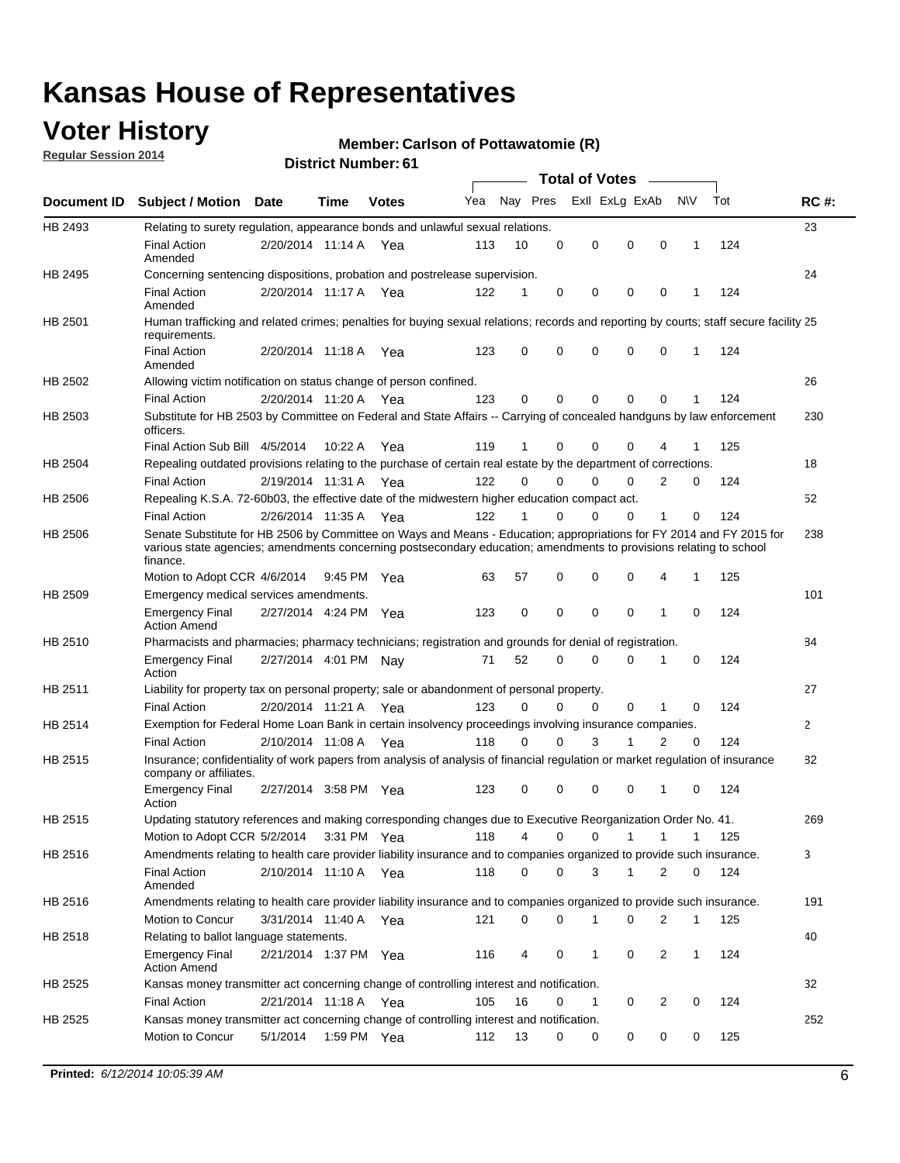### **Voter History**

**Regular Session 2014**

#### **Member: Carlson of Pottawatomie (R)**

|                    |                                                                                                                                                                                                                                                        |                       |             |              |     |          |          | <b>Total of Votes</b> |              |                |              |     |              |
|--------------------|--------------------------------------------------------------------------------------------------------------------------------------------------------------------------------------------------------------------------------------------------------|-----------------------|-------------|--------------|-----|----------|----------|-----------------------|--------------|----------------|--------------|-----|--------------|
| <b>Document ID</b> | <b>Subject / Motion Date</b>                                                                                                                                                                                                                           |                       | Time        | <b>Votes</b> | Yea | Nay Pres |          | Exll ExLg ExAb        |              |                | <b>NV</b>    | Tot | <b>RC#:</b>  |
| HB 2493            | Relating to surety regulation, appearance bonds and unlawful sexual relations.                                                                                                                                                                         |                       |             |              |     |          |          |                       |              |                |              |     | 23           |
|                    | <b>Final Action</b><br>Amended                                                                                                                                                                                                                         | 2/20/2014 11:14 A     |             | Yea          | 113 | 10       | 0        | 0                     | $\mathbf 0$  | 0              | $\mathbf 1$  | 124 |              |
| HB 2495            | Concerning sentencing dispositions, probation and postrelease supervision.                                                                                                                                                                             |                       |             |              |     |          |          |                       |              |                |              |     | 24           |
|                    | <b>Final Action</b><br>Amended                                                                                                                                                                                                                         | 2/20/2014 11:17 A Yea |             |              | 122 | 1        | 0        | 0                     | $\mathbf 0$  | $\mathbf 0$    | -1           | 124 |              |
| HB 2501            | Human trafficking and related crimes; penalties for buying sexual relations; records and reporting by courts; staff secure facility 25<br>requirements.                                                                                                |                       |             |              |     |          |          |                       |              |                |              |     |              |
|                    | <b>Final Action</b><br>Amended                                                                                                                                                                                                                         | 2/20/2014 11:18 A Yea |             |              | 123 | $\Omega$ | 0        | 0                     | $\Omega$     | $\mathbf 0$    | 1            | 124 |              |
| HB 2502            | Allowing victim notification on status change of person confined.                                                                                                                                                                                      |                       |             |              |     |          |          |                       |              |                |              |     | 26           |
|                    | <b>Final Action</b>                                                                                                                                                                                                                                    | 2/20/2014 11:20 A Yea |             |              | 123 | $\Omega$ | 0        | $\mathbf{0}$          | $\Omega$     | $\Omega$       |              | 124 |              |
| HB 2503            | Substitute for HB 2503 by Committee on Federal and State Affairs -- Carrying of concealed handguns by law enforcement<br>officers.                                                                                                                     |                       |             |              |     |          |          |                       |              |                |              |     | 230          |
|                    | Final Action Sub Bill 4/5/2014                                                                                                                                                                                                                         |                       | 10:22 A     | Yea          | 119 |          | 0        | 0                     | 0            | 4              |              | 125 |              |
| HB 2504            | Repealing outdated provisions relating to the purchase of certain real estate by the department of corrections.                                                                                                                                        |                       |             |              |     |          |          |                       |              |                |              |     | 18           |
|                    | <b>Final Action</b>                                                                                                                                                                                                                                    | 2/19/2014 11:31 A Yea |             |              | 122 | $\Omega$ | $\Omega$ | 0                     | $\mathbf{0}$ | $\overline{2}$ | 0            | 124 |              |
| HB 2506            | Repealing K.S.A. 72-60b03, the effective date of the midwestern higher education compact act.                                                                                                                                                          |                       |             |              |     |          |          |                       |              |                |              |     | 52           |
|                    | <b>Final Action</b>                                                                                                                                                                                                                                    | 2/26/2014 11:35 A Yea |             |              | 122 |          | $\Omega$ | 0                     | 0            | 1              | 0            | 124 |              |
| HB 2506            | Senate Substitute for HB 2506 by Committee on Ways and Means - Education; appropriations for FY 2014 and FY 2015 for<br>various state agencies; amendments concerning postsecondary education; amendments to provisions relating to school<br>finance. |                       |             |              |     |          |          |                       |              |                |              |     | 238          |
|                    | Motion to Adopt CCR 4/6/2014                                                                                                                                                                                                                           |                       | 9:45 PM Yea |              | 63  | 57       | 0        | 0                     | 0            | 4              | -1           | 125 |              |
| HB 2509            | Emergency medical services amendments.                                                                                                                                                                                                                 |                       |             |              |     |          |          |                       |              |                |              |     | 101          |
|                    | Emergency Final<br><b>Action Amend</b>                                                                                                                                                                                                                 | 2/27/2014 4:24 PM Yea |             |              | 123 | 0        | 0        | $\mathbf 0$           | 0            | $\mathbf{1}$   | 0            | 124 |              |
| HB 2510            | Pharmacists and pharmacies; pharmacy technicians; registration and grounds for denial of registration.                                                                                                                                                 |                       |             |              |     |          |          |                       |              |                |              |     | 84           |
|                    | <b>Emergency Final</b><br>Action                                                                                                                                                                                                                       | 2/27/2014 4:01 PM Nay |             |              | 71  | 52       | 0        | 0                     | 0            | 1              | 0            | 124 |              |
| HB 2511            | Liability for property tax on personal property; sale or abandonment of personal property.                                                                                                                                                             |                       |             |              |     |          |          |                       |              |                |              |     | 27           |
|                    | <b>Final Action</b>                                                                                                                                                                                                                                    | 2/20/2014 11:21 A     |             | Yea          | 123 | $\Omega$ | $\Omega$ | 0                     | 0            | 1              | 0            | 124 |              |
| HB 2514            | Exemption for Federal Home Loan Bank in certain insolvency proceedings involving insurance companies.                                                                                                                                                  |                       |             |              |     |          |          |                       |              |                |              |     | $\mathbf{2}$ |
|                    | <b>Final Action</b>                                                                                                                                                                                                                                    | 2/10/2014 11:08 A     |             | Yea          | 118 | $\Omega$ | $\Omega$ | 3                     | 1            | 2              | $\mathbf 0$  | 124 |              |
| HB 2515            | Insurance; confidentiality of work papers from analysis of analysis of financial regulation or market regulation of insurance<br>company or affiliates.                                                                                                |                       |             |              |     |          |          |                       |              |                |              |     | 82           |
|                    | <b>Emergency Final</b><br>Action                                                                                                                                                                                                                       | 2/27/2014 3:58 PM Yea |             |              | 123 | 0        | 0        | 0                     | 0            | 1              | 0            | 124 |              |
| HB 2515            | Updating statutory references and making corresponding changes due to Executive Reorganization Order No. 41.                                                                                                                                           |                       |             |              |     |          |          |                       |              |                |              |     | 269          |
|                    | Motion to Adopt CCR 5/2/2014 3:31 PM Yea                                                                                                                                                                                                               |                       |             |              | 118 | 4        | 0        | 0                     | $\mathbf{1}$ | $\mathbf{1}$   | $\mathbf{1}$ | 125 |              |
| HB 2516            | Amendments relating to health care provider liability insurance and to companies organized to provide such insurance.                                                                                                                                  |                       |             |              |     |          |          |                       |              |                |              |     | 3            |
|                    | <b>Final Action</b><br>Amended                                                                                                                                                                                                                         | 2/10/2014 11:10 A Yea |             |              | 118 | 0        | 0        | 3                     | 1            | 2              | 0            | 124 |              |
| HB 2516            | Amendments relating to health care provider liability insurance and to companies organized to provide such insurance.                                                                                                                                  |                       |             |              |     |          |          |                       |              |                |              |     | 191          |
|                    | Motion to Concur                                                                                                                                                                                                                                       | 3/31/2014 11:40 A Yea |             |              | 121 | 0        | 0        | 1                     | 0            | 2              | $\mathbf{1}$ | 125 |              |
| HB 2518            | Relating to ballot language statements.                                                                                                                                                                                                                |                       |             |              |     |          |          |                       |              |                |              |     | 40           |
|                    | Emergency Final<br><b>Action Amend</b>                                                                                                                                                                                                                 | 2/21/2014 1:37 PM Yea |             |              | 116 | 4        | 0        | 1                     | 0            | 2              | 1            | 124 |              |
| HB 2525            | Kansas money transmitter act concerning change of controlling interest and notification.                                                                                                                                                               |                       |             |              |     |          |          |                       |              |                |              |     | 32           |
|                    | <b>Final Action</b>                                                                                                                                                                                                                                    | 2/21/2014 11:18 A Yea |             |              | 105 | 16       | 0        | $\mathbf{1}$          | 0            | 2              | 0            | 124 |              |
| HB 2525            | Kansas money transmitter act concerning change of controlling interest and notification.<br>Motion to Concur                                                                                                                                           | 5/1/2014              |             | 1:59 PM Yea  | 112 | 13       | 0        | 0                     | 0            | 0              | 0            | 125 | 252          |
|                    |                                                                                                                                                                                                                                                        |                       |             |              |     |          |          |                       |              |                |              |     |              |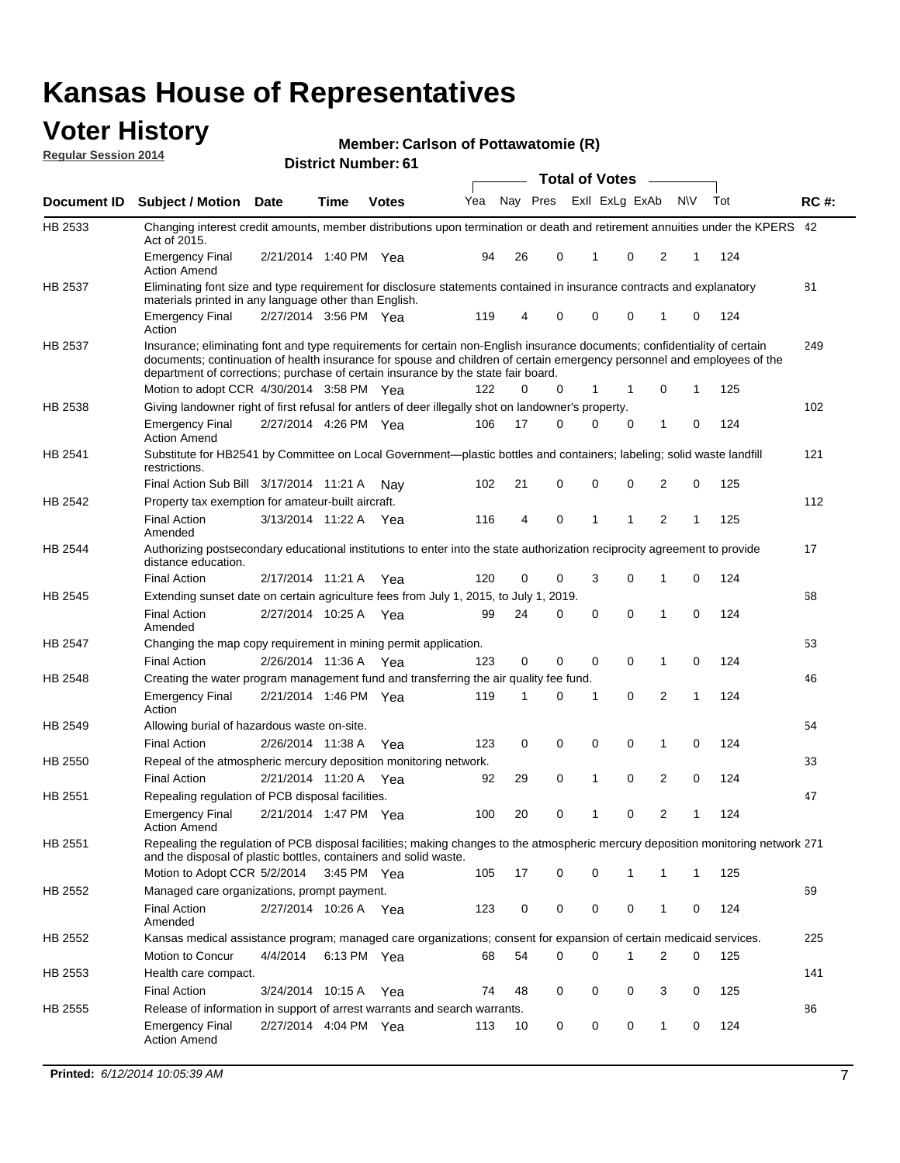#### **Voter History Regular Session 2014**

#### **Member: Carlson of Pottawatomie (R)**

|                    |                                                                                                                                                                                                                                                                                                                                           |                       |             |              |     |          |   | <b>Total of Votes</b> |             |                |           |     |             |
|--------------------|-------------------------------------------------------------------------------------------------------------------------------------------------------------------------------------------------------------------------------------------------------------------------------------------------------------------------------------------|-----------------------|-------------|--------------|-----|----------|---|-----------------------|-------------|----------------|-----------|-----|-------------|
| <b>Document ID</b> | <b>Subject / Motion Date</b>                                                                                                                                                                                                                                                                                                              |                       | Time        | <b>Votes</b> | Yea | Nay Pres |   | Exll ExLg ExAb        |             |                | <b>NV</b> | Tot | <b>RC#:</b> |
| HB 2533            | Changing interest credit amounts, member distributions upon termination or death and retirement annuities under the KPERS 42<br>Act of 2015.                                                                                                                                                                                              |                       |             |              |     |          |   |                       |             |                |           |     |             |
|                    | <b>Emergency Final</b><br><b>Action Amend</b>                                                                                                                                                                                                                                                                                             | 2/21/2014 1:40 PM Yea |             |              | 94  | 26       | 0 | 1                     | 0           | 2              | 1         | 124 |             |
| HB 2537            | Eliminating font size and type requirement for disclosure statements contained in insurance contracts and explanatory<br>materials printed in any language other than English.                                                                                                                                                            |                       |             |              |     |          |   |                       |             |                |           |     | 81          |
|                    | <b>Emergency Final</b><br>Action                                                                                                                                                                                                                                                                                                          | 2/27/2014 3:56 PM Yea |             |              | 119 | 4        | 0 | $\mathbf 0$           | $\mathbf 0$ | 1              | 0         | 124 |             |
| HB 2537            | Insurance; eliminating font and type requirements for certain non-English insurance documents; confidentiality of certain<br>documents; continuation of health insurance for spouse and children of certain emergency personnel and employees of the<br>department of corrections; purchase of certain insurance by the state fair board. |                       |             |              |     |          |   |                       |             |                |           |     | 249         |
|                    | Motion to adopt CCR 4/30/2014 3:58 PM Yea                                                                                                                                                                                                                                                                                                 |                       |             |              | 122 | 0        | 0 | 1                     | 1           | 0              | 1         | 125 |             |
| HB 2538            | Giving landowner right of first refusal for antlers of deer illegally shot on landowner's property.                                                                                                                                                                                                                                       |                       |             |              |     |          |   |                       |             |                |           |     | 102         |
|                    | <b>Emergency Final</b><br><b>Action Amend</b>                                                                                                                                                                                                                                                                                             | 2/27/2014 4:26 PM Yea |             |              | 106 | 17       | 0 | $\Omega$              | $\mathbf 0$ | 1              | 0         | 124 |             |
| HB 2541            | Substitute for HB2541 by Committee on Local Government—plastic bottles and containers; labeling; solid waste landfill<br>restrictions.                                                                                                                                                                                                    |                       |             |              |     |          |   |                       |             |                |           |     | 121         |
|                    | Final Action Sub Bill 3/17/2014 11:21 A Nay                                                                                                                                                                                                                                                                                               |                       |             |              | 102 | 21       | 0 | $\mathbf 0$           | $\mathbf 0$ | 2              | 0         | 125 |             |
| HB 2542            | Property tax exemption for amateur-built aircraft.                                                                                                                                                                                                                                                                                        |                       |             |              |     |          |   |                       |             |                |           |     | 112         |
|                    | <b>Final Action</b><br>Amended                                                                                                                                                                                                                                                                                                            | 3/13/2014 11:22 A Yea |             |              | 116 | 4        | 0 | 1                     | 1           | 2              | 1         | 125 |             |
| <b>HB 2544</b>     | Authorizing postsecondary educational institutions to enter into the state authorization reciprocity agreement to provide<br>distance education.                                                                                                                                                                                          |                       |             |              |     |          |   |                       |             |                |           |     | 17          |
|                    | <b>Final Action</b>                                                                                                                                                                                                                                                                                                                       | 2/17/2014 11:21 A     |             | Yea          | 120 | 0        | 0 | 3                     | 0           | 1              | 0         | 124 |             |
| HB 2545            | Extending sunset date on certain agriculture fees from July 1, 2015, to July 1, 2019.                                                                                                                                                                                                                                                     |                       |             |              |     |          |   |                       |             |                |           |     | 68          |
|                    | <b>Final Action</b><br>Amended                                                                                                                                                                                                                                                                                                            | 2/27/2014 10:25 A Yea |             |              | 99  | 24       | 0 | 0                     | 0           | 1              | 0         | 124 |             |
| HB 2547            | Changing the map copy requirement in mining permit application.                                                                                                                                                                                                                                                                           |                       |             |              |     |          |   |                       |             |                |           |     | 53          |
|                    | <b>Final Action</b>                                                                                                                                                                                                                                                                                                                       | 2/26/2014 11:36 A Yea |             |              | 123 | 0        | 0 | $\mathbf 0$           | 0           | 1              | 0         | 124 |             |
| HB 2548            | Creating the water program management fund and transferring the air quality fee fund.                                                                                                                                                                                                                                                     |                       |             |              |     |          |   |                       |             |                |           |     | 46          |
|                    | <b>Emergency Final</b><br>Action                                                                                                                                                                                                                                                                                                          | 2/21/2014 1:46 PM Yea |             |              | 119 | 1        | 0 | 1                     | 0           | 2              | 1         | 124 |             |
| HB 2549            | Allowing burial of hazardous waste on-site.                                                                                                                                                                                                                                                                                               |                       |             |              |     |          |   |                       |             |                |           |     | 54          |
|                    | <b>Final Action</b>                                                                                                                                                                                                                                                                                                                       | 2/26/2014 11:38 A     |             | Yea          | 123 | 0        | 0 | 0                     | 0           | 1              | 0         | 124 |             |
| HB 2550            | Repeal of the atmospheric mercury deposition monitoring network.                                                                                                                                                                                                                                                                          |                       |             |              |     |          |   |                       |             |                |           |     | 33          |
|                    | <b>Final Action</b>                                                                                                                                                                                                                                                                                                                       | 2/21/2014 11:20 A Yea |             |              | 92  | 29       | 0 | 1                     | 0           | $\overline{2}$ | 0         | 124 |             |
| HB 2551            | Repealing regulation of PCB disposal facilities.                                                                                                                                                                                                                                                                                          |                       |             |              |     |          |   |                       |             |                |           |     | 47          |
|                    | <b>Emergency Final</b><br><b>Action Amend</b>                                                                                                                                                                                                                                                                                             | 2/21/2014 1:47 PM Yea |             |              | 100 | 20       | 0 | 1                     | 0           | $\overline{2}$ | 1         | 124 |             |
| HB 2551            | Repealing the regulation of PCB disposal facilities; making changes to the atmospheric mercury deposition monitoring network 271<br>and the disposal of plastic bottles, containers and solid waste.                                                                                                                                      |                       |             |              |     |          |   |                       |             |                |           |     |             |
|                    | Motion to Adopt CCR 5/2/2014                                                                                                                                                                                                                                                                                                              |                       | 3:45 PM Yea |              | 105 | 17       | 0 | 0                     | 1           | 1              | 1         | 125 |             |
| HB 2552            | Managed care organizations, prompt payment.                                                                                                                                                                                                                                                                                               |                       |             |              |     |          |   |                       |             |                |           |     | 69          |
|                    | <b>Final Action</b><br>Amended                                                                                                                                                                                                                                                                                                            | 2/27/2014 10:26 A Yea |             |              | 123 | 0        | 0 | 0                     | 0           | 1              | 0         | 124 |             |
| HB 2552            | Kansas medical assistance program; managed care organizations; consent for expansion of certain medicaid services.                                                                                                                                                                                                                        |                       |             |              |     |          |   |                       |             |                |           |     | 225         |
|                    | Motion to Concur                                                                                                                                                                                                                                                                                                                          | 4/4/2014              |             | 6:13 PM Yea  | 68  | 54       | 0 | 0                     | 1           | 2              | 0         | 125 |             |
| HB 2553            | Health care compact.                                                                                                                                                                                                                                                                                                                      |                       |             |              |     |          |   |                       |             |                |           |     | 141         |
|                    | <b>Final Action</b>                                                                                                                                                                                                                                                                                                                       | 3/24/2014 10:15 A Yea |             |              | 74  | 48       | 0 | 0                     | 0           | 3              | 0         | 125 |             |
| HB 2555            | Release of information in support of arrest warrants and search warrants.                                                                                                                                                                                                                                                                 |                       |             |              |     |          |   |                       |             |                |           |     | 86          |
|                    | <b>Emergency Final</b><br><b>Action Amend</b>                                                                                                                                                                                                                                                                                             | 2/27/2014 4:04 PM Yea |             |              | 113 | 10       | 0 | 0                     | 0           | 1              | 0         | 124 |             |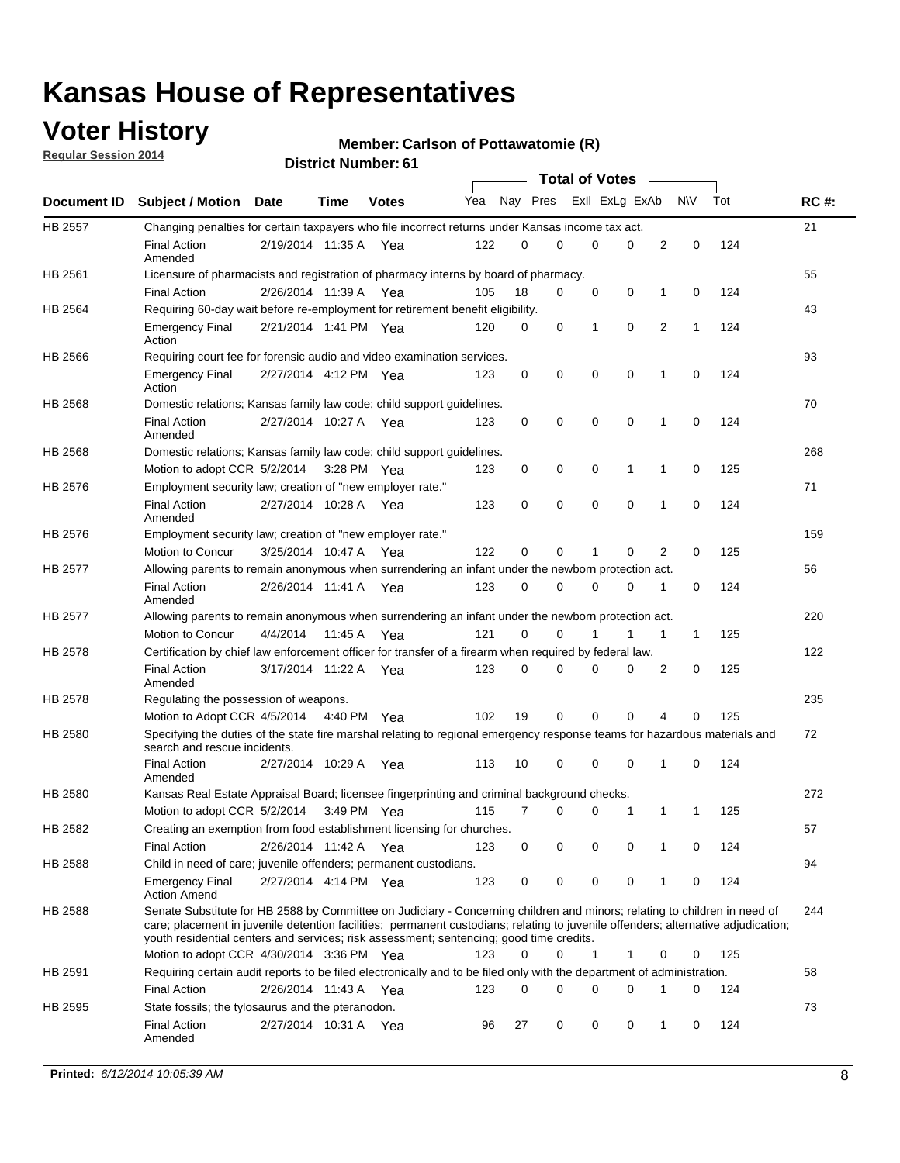### **Voter History**

**Regular Session 2014**

#### **Member: Carlson of Pottawatomie (R)**

|                |                                                                                                                                                                                                                                                                                                                                                           |                       |             |              |     |          |   | <b>Total of Votes</b> |             |              |              |     |             |
|----------------|-----------------------------------------------------------------------------------------------------------------------------------------------------------------------------------------------------------------------------------------------------------------------------------------------------------------------------------------------------------|-----------------------|-------------|--------------|-----|----------|---|-----------------------|-------------|--------------|--------------|-----|-------------|
|                | Document ID Subject / Motion Date                                                                                                                                                                                                                                                                                                                         |                       | Time        | <b>Votes</b> | Yea | Nay Pres |   | Exll ExLg ExAb        |             |              | <b>NV</b>    | Tot | <b>RC#:</b> |
| <b>HB 2557</b> | Changing penalties for certain taxpayers who file incorrect returns under Kansas income tax act.                                                                                                                                                                                                                                                          |                       |             |              |     |          |   |                       |             |              |              |     | 21          |
|                | <b>Final Action</b><br>Amended                                                                                                                                                                                                                                                                                                                            | 2/19/2014 11:35 A     |             | Yea          | 122 | 0        | 0 | 0                     | 0           | 2            | 0            | 124 |             |
| HB 2561        | Licensure of pharmacists and registration of pharmacy interns by board of pharmacy.                                                                                                                                                                                                                                                                       |                       |             |              |     |          |   |                       |             |              |              |     | 55          |
|                | <b>Final Action</b>                                                                                                                                                                                                                                                                                                                                       | 2/26/2014 11:39 A Yea |             |              | 105 | 18       | 0 | 0                     | 0           | 1            | 0            | 124 |             |
| HB 2564        | Requiring 60-day wait before re-employment for retirement benefit eligibility.                                                                                                                                                                                                                                                                            |                       |             |              |     |          |   |                       |             |              |              |     | 43          |
|                | <b>Emergency Final</b><br>Action                                                                                                                                                                                                                                                                                                                          | 2/21/2014 1:41 PM Yea |             |              | 120 | 0        | 0 | 1                     | 0           | 2            | 1            | 124 |             |
| HB 2566        | Requiring court fee for forensic audio and video examination services.                                                                                                                                                                                                                                                                                    |                       |             |              |     |          |   |                       |             |              |              |     | 93          |
|                | <b>Emergency Final</b><br>Action                                                                                                                                                                                                                                                                                                                          | 2/27/2014 4:12 PM Yea |             |              | 123 | 0        | 0 | 0                     | $\mathbf 0$ | 1            | $\mathbf 0$  | 124 |             |
| HB 2568        | Domestic relations; Kansas family law code; child support guidelines.                                                                                                                                                                                                                                                                                     |                       |             |              |     |          |   |                       |             |              |              |     | 70          |
|                | <b>Final Action</b><br>Amended                                                                                                                                                                                                                                                                                                                            | 2/27/2014 10:27 A     |             | Yea          | 123 | 0        | 0 | 0                     | 0           | 1            | 0            | 124 |             |
| HB 2568        | Domestic relations; Kansas family law code; child support guidelines.                                                                                                                                                                                                                                                                                     |                       |             |              |     |          |   |                       |             |              |              |     | 268         |
|                | Motion to adopt CCR 5/2/2014                                                                                                                                                                                                                                                                                                                              |                       | 3:28 PM Yea |              | 123 | 0        | 0 | 0                     | 1           | 1            | 0            | 125 |             |
| HB 2576        | Employment security law; creation of "new employer rate."                                                                                                                                                                                                                                                                                                 |                       |             |              |     |          |   |                       |             |              |              |     | 71          |
|                | <b>Final Action</b><br>Amended                                                                                                                                                                                                                                                                                                                            | 2/27/2014 10:28 A     |             | Yea          | 123 | 0        | 0 | 0                     | $\mathbf 0$ | 1            | 0            | 124 |             |
| HB 2576        | Employment security law; creation of "new employer rate."                                                                                                                                                                                                                                                                                                 |                       |             |              |     |          |   |                       |             |              |              |     | 159         |
|                | Motion to Concur                                                                                                                                                                                                                                                                                                                                          | 3/25/2014 10:47 A     |             | Yea          | 122 | 0        | 0 | 1                     | 0           | 2            | 0            | 125 |             |
| HB 2577        | Allowing parents to remain anonymous when surrendering an infant under the newborn protection act.                                                                                                                                                                                                                                                        |                       |             |              |     |          |   |                       |             |              |              |     | 56          |
|                | <b>Final Action</b><br>Amended                                                                                                                                                                                                                                                                                                                            | 2/26/2014 11:41 A Yea |             |              | 123 | 0        | 0 | 0                     | $\Omega$    | 1            | 0            | 124 |             |
| HB 2577        | Allowing parents to remain anonymous when surrendering an infant under the newborn protection act.                                                                                                                                                                                                                                                        |                       |             |              |     |          |   |                       |             |              |              |     | 220         |
|                | Motion to Concur                                                                                                                                                                                                                                                                                                                                          | 4/4/2014              | 11:45 A     | Yea          | 121 | $\Omega$ | 0 |                       | 1           | $\mathbf{1}$ | $\mathbf{1}$ | 125 |             |
| HB 2578        | Certification by chief law enforcement officer for transfer of a firearm when required by federal law.                                                                                                                                                                                                                                                    |                       |             |              |     |          |   |                       |             |              |              |     | 122         |
|                | <b>Final Action</b><br>Amended                                                                                                                                                                                                                                                                                                                            | 3/17/2014 11:22 A     |             | Yea          | 123 | $\Omega$ | 0 | 0                     | $\Omega$    | 2            | 0            | 125 |             |
| HB 2578        | Regulating the possession of weapons.                                                                                                                                                                                                                                                                                                                     |                       |             |              |     |          |   |                       |             |              |              |     | 235         |
|                | Motion to Adopt CCR 4/5/2014 4:40 PM Yea                                                                                                                                                                                                                                                                                                                  |                       |             |              | 102 | 19       | 0 | 0                     | 0           | 4            | $\Omega$     | 125 |             |
| HB 2580        | Specifying the duties of the state fire marshal relating to regional emergency response teams for hazardous materials and<br>search and rescue incidents.                                                                                                                                                                                                 |                       |             |              |     |          |   |                       |             |              |              |     | 72          |
|                | <b>Final Action</b><br>Amended                                                                                                                                                                                                                                                                                                                            | 2/27/2014 10:29 A     |             | Yea          | 113 | 10       | 0 | 0                     | 0           | 1            | 0            | 124 |             |
| HB 2580        | Kansas Real Estate Appraisal Board; licensee fingerprinting and criminal background checks.                                                                                                                                                                                                                                                               |                       |             |              |     |          |   |                       |             |              |              |     | 272         |
|                | Motion to adopt CCR 5/2/2014                                                                                                                                                                                                                                                                                                                              |                       |             | 3:49 PM Yea  | 115 | 7        | 0 | 0                     | 1           | 1            | -1           | 125 |             |
| HB 2582        | Creating an exemption from food establishment licensing for churches.                                                                                                                                                                                                                                                                                     |                       |             |              |     |          |   |                       |             |              |              |     | 57          |
|                | <b>Final Action</b>                                                                                                                                                                                                                                                                                                                                       | 2/26/2014 11:42 A Yea |             |              | 123 | 0        | 0 | 0                     | 0           | 1            | 0            | 124 |             |
| HB 2588        | Child in need of care; juvenile offenders; permanent custodians.                                                                                                                                                                                                                                                                                          |                       |             |              |     |          |   |                       |             |              |              |     | 94          |
|                | <b>Emergency Final</b><br><b>Action Amend</b>                                                                                                                                                                                                                                                                                                             | 2/27/2014 4:14 PM Yea |             |              | 123 | 0        | 0 | 0                     | 0           | 1            | 0            | 124 |             |
| HB 2588        | Senate Substitute for HB 2588 by Committee on Judiciary - Concerning children and minors; relating to children in need of<br>care; placement in juvenile detention facilities; permanent custodians; relating to juvenile offenders; alternative adjudication;<br>youth residential centers and services; risk assessment; sentencing; good time credits. |                       |             |              |     |          |   |                       |             |              |              |     | 244         |
|                | Motion to adopt CCR 4/30/2014 3:36 PM Yea                                                                                                                                                                                                                                                                                                                 |                       |             |              | 123 | 0        | 0 | 1                     | 1           | 0            | 0            | 125 |             |
| HB 2591        | Requiring certain audit reports to be filed electronically and to be filed only with the department of administration.                                                                                                                                                                                                                                    |                       |             |              |     |          |   |                       |             |              |              |     | 58          |
|                | <b>Final Action</b>                                                                                                                                                                                                                                                                                                                                       | 2/26/2014 11:43 A Yea |             |              | 123 | 0        | 0 | 0                     | 0           | 1            | 0            | 124 |             |
| HB 2595        | State fossils; the tylosaurus and the pteranodon.                                                                                                                                                                                                                                                                                                         |                       |             |              |     |          |   |                       |             |              |              |     | 73          |
|                | <b>Final Action</b><br>Amended                                                                                                                                                                                                                                                                                                                            | 2/27/2014 10:31 A Yea |             |              | 96  | 27       | 0 | 0                     | 0           | 1            | 0            | 124 |             |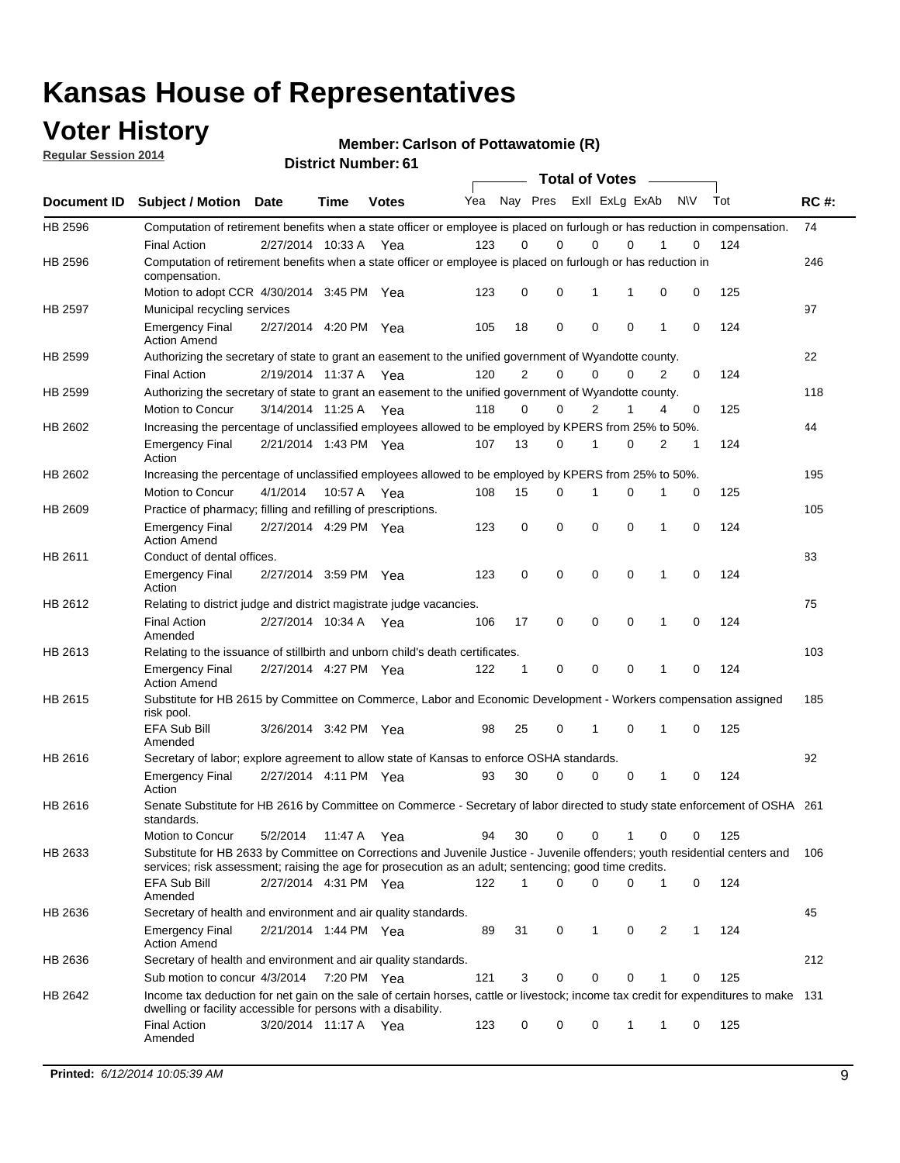### **Voter History**

**Regular Session 2014**

**Member: Carlson of Pottawatomie (R)** 

|                |                                                                                                                                                                                                                                       |                       |             | <b>DISTRICT MAILINGL. 01</b> |     |                |             |                | <b>Total of Votes</b> |   |           |     |             |
|----------------|---------------------------------------------------------------------------------------------------------------------------------------------------------------------------------------------------------------------------------------|-----------------------|-------------|------------------------------|-----|----------------|-------------|----------------|-----------------------|---|-----------|-----|-------------|
| Document ID    | <b>Subject / Motion</b>                                                                                                                                                                                                               | <b>Date</b>           | Time        | <b>Votes</b>                 | Yea |                | Nay Pres    |                | Exll ExLg ExAb        |   | <b>NV</b> | Tot | <b>RC#:</b> |
| HB 2596        | Computation of retirement benefits when a state officer or employee is placed on furlough or has reduction in compensation.                                                                                                           |                       |             |                              |     |                |             |                |                       |   |           |     | 74          |
|                | <b>Final Action</b>                                                                                                                                                                                                                   | 2/27/2014 10:33 A     |             | Yea                          | 123 | 0              | $\Omega$    | 0              | $\Omega$              |   | 0         | 124 |             |
| HB 2596        | Computation of retirement benefits when a state officer or employee is placed on furlough or has reduction in<br>compensation.                                                                                                        |                       |             |                              |     |                |             |                |                       |   |           |     | 246         |
|                | Motion to adopt CCR 4/30/2014 3:45 PM Yea                                                                                                                                                                                             |                       |             |                              | 123 | 0              | 0           | 1              | 1                     | 0 | 0         | 125 |             |
| <b>HB 2597</b> | Municipal recycling services                                                                                                                                                                                                          |                       |             |                              |     |                |             |                |                       |   |           |     | 97          |
|                | <b>Emergency Final</b><br><b>Action Amend</b>                                                                                                                                                                                         | 2/27/2014 4:20 PM Yea |             |                              | 105 | 18             | $\mathbf 0$ | $\mathbf 0$    | $\mathbf 0$           | 1 | 0         | 124 |             |
| HB 2599        | Authorizing the secretary of state to grant an easement to the unified government of Wyandotte county.                                                                                                                                |                       |             |                              |     |                |             |                |                       |   |           |     | 22          |
|                | <b>Final Action</b>                                                                                                                                                                                                                   | 2/19/2014 11:37 A     |             | Yea                          | 120 | $\overline{2}$ | $\mathbf 0$ | 0              | $\Omega$              | 2 | 0         | 124 |             |
| HB 2599        | Authorizing the secretary of state to grant an easement to the unified government of Wyandotte county.                                                                                                                                |                       |             |                              |     |                |             |                |                       |   |           |     | 118         |
|                | Motion to Concur                                                                                                                                                                                                                      | 3/14/2014 11:25 A     |             | Yea                          | 118 | $\Omega$       | 0           | $\overline{2}$ | 1                     | 4 | 0         | 125 |             |
| HB 2602        | Increasing the percentage of unclassified employees allowed to be employed by KPERS from 25% to 50%.                                                                                                                                  |                       |             |                              |     |                |             |                |                       |   |           |     | 44          |
|                | <b>Emergency Final</b><br>Action                                                                                                                                                                                                      | 2/21/2014 1:43 PM Yea |             |                              | 107 | 13             | 0           | 1              | $\Omega$              | 2 | 1         | 124 |             |
| HB 2602        | Increasing the percentage of unclassified employees allowed to be employed by KPERS from 25% to 50%.                                                                                                                                  |                       |             |                              |     |                |             |                |                       |   |           |     | 195         |
|                | Motion to Concur                                                                                                                                                                                                                      | 4/1/2014              | 10:57 A Yea |                              | 108 | 15             | 0           | 1              | 0                     | 1 | 0         | 125 |             |
| HB 2609        | Practice of pharmacy; filling and refilling of prescriptions.                                                                                                                                                                         |                       |             |                              |     |                |             |                |                       |   |           |     | 105         |
|                | <b>Emergency Final</b><br><b>Action Amend</b>                                                                                                                                                                                         | 2/27/2014 4:29 PM Yea |             |                              | 123 | 0              | $\mathbf 0$ | $\mathbf 0$    | $\Omega$              | 1 | 0         | 124 |             |
| HB 2611        | Conduct of dental offices.                                                                                                                                                                                                            |                       |             |                              |     |                |             |                |                       |   |           |     | 83          |
|                | <b>Emergency Final</b><br>Action                                                                                                                                                                                                      | 2/27/2014 3:59 PM Yea |             |                              | 123 | 0              | $\mathbf 0$ | $\mathbf 0$    | $\mathbf 0$           | 1 | 0         | 124 |             |
| HB 2612        | Relating to district judge and district magistrate judge vacancies.                                                                                                                                                                   |                       |             |                              |     |                |             |                |                       |   |           |     | 75          |
|                | <b>Final Action</b><br>Amended                                                                                                                                                                                                        | 2/27/2014 10:34 A     |             | Yea                          | 106 | 17             | $\mathbf 0$ | $\mathbf 0$    | $\mathbf 0$           | 1 | 0         | 124 |             |
| HB 2613        | Relating to the issuance of stillbirth and unborn child's death certificates.                                                                                                                                                         |                       |             |                              |     |                |             |                |                       |   |           |     | 103         |
|                | <b>Emergency Final</b><br><b>Action Amend</b>                                                                                                                                                                                         | 2/27/2014 4:27 PM Yea |             |                              | 122 | 1              | 0           | $\mathbf 0$    | $\Omega$              | 1 | 0         | 124 |             |
| HB 2615        | Substitute for HB 2615 by Committee on Commerce, Labor and Economic Development - Workers compensation assigned<br>risk pool.                                                                                                         |                       |             |                              |     |                |             |                |                       |   |           |     | 185         |
|                | EFA Sub Bill<br>Amended                                                                                                                                                                                                               | 3/26/2014 3:42 PM Yea |             |                              | 98  | 25             | 0           | 1              | $\mathbf 0$           | 1 | 0         | 125 |             |
| HB 2616        | Secretary of labor; explore agreement to allow state of Kansas to enforce OSHA standards.                                                                                                                                             |                       |             |                              |     |                |             |                |                       |   |           |     | 92          |
|                | <b>Emergency Final</b><br>Action                                                                                                                                                                                                      | 2/27/2014 4:11 PM Yea |             |                              | 93  | 30             | 0           | 0              | $\mathbf 0$           | 1 | 0         | 124 |             |
| HB 2616        | Senate Substitute for HB 2616 by Committee on Commerce - Secretary of labor directed to study state enforcement of OSHA 261<br>standards.                                                                                             |                       |             |                              |     |                |             |                |                       |   |           |     |             |
|                | Motion to Concur                                                                                                                                                                                                                      | 5/2/2014              | 11:47 A Yea |                              | 94  | 30             | 0           | 0              | 1                     | 0 | 0         | 125 |             |
| HB 2633        | Substitute for HB 2633 by Committee on Corrections and Juvenile Justice - Juvenile offenders; youth residential centers and<br>services; risk assessment; raising the age for prosecution as an adult; sentencing; good time credits. |                       |             |                              |     |                |             |                |                       |   |           |     | 106         |
|                | EFA Sub Bill<br>Amended                                                                                                                                                                                                               | 2/27/2014 4:31 PM Yea |             |                              | 122 | 1              | 0           | $\mathbf 0$    | 0                     | 1 | 0         | 124 |             |
| HB 2636        | Secretary of health and environment and air quality standards.                                                                                                                                                                        |                       |             |                              |     |                |             |                |                       |   |           |     | 45          |
|                | <b>Emergency Final</b><br><b>Action Amend</b>                                                                                                                                                                                         | 2/21/2014 1:44 PM Yea |             |                              | 89  | 31             | 0           | 1              | 0                     | 2 | 1         | 124 |             |
| HB 2636        | Secretary of health and environment and air quality standards.                                                                                                                                                                        |                       |             |                              |     |                |             |                |                       |   |           |     | 212         |
|                | Sub motion to concur 4/3/2014                                                                                                                                                                                                         |                       | 7:20 PM Yea |                              | 121 | 3              | 0           | 0              | 0                     |   | 0         | 125 |             |
| HB 2642        | Income tax deduction for net gain on the sale of certain horses, cattle or livestock; income tax credit for expenditures to make 131<br>dwelling or facility accessible for persons with a disability.                                |                       |             |                              |     |                |             |                |                       |   |           |     |             |
|                | <b>Final Action</b><br>Amended                                                                                                                                                                                                        | 3/20/2014 11:17 A Yea |             |                              | 123 | 0              | 0           | 0              | 1                     | 1 | 0         | 125 |             |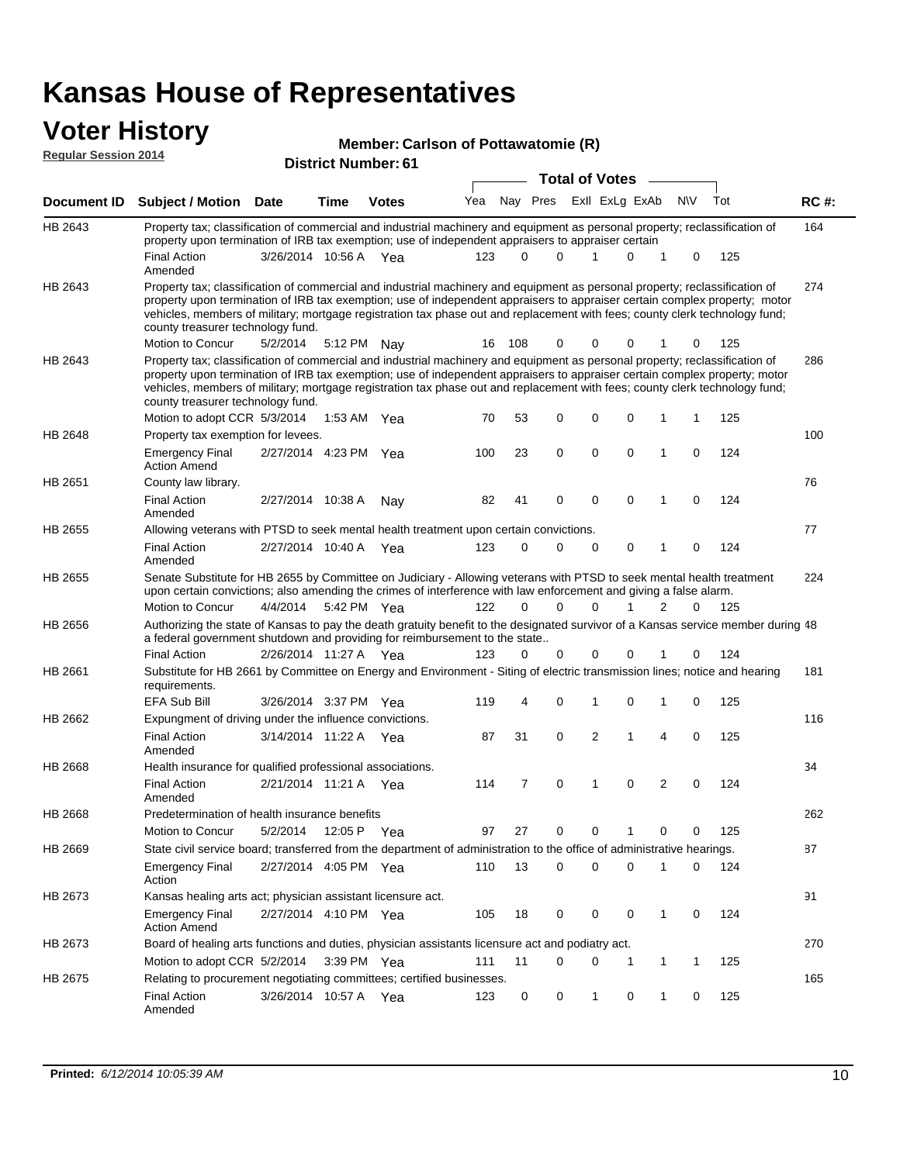#### **Voter History Regular Session 2014**

| ע וט | Member: Carlson of Pottawatomie (R) |  |
|------|-------------------------------------|--|
|------|-------------------------------------|--|

| דו טב ווטופסטט ומושטחו |                                                                                                                                                                                                                                                                                                                                                                                                                               |                       |             | <b>District Number: 61</b> |     |              |             |                       |                             |     |             |     |             |
|------------------------|-------------------------------------------------------------------------------------------------------------------------------------------------------------------------------------------------------------------------------------------------------------------------------------------------------------------------------------------------------------------------------------------------------------------------------|-----------------------|-------------|----------------------------|-----|--------------|-------------|-----------------------|-----------------------------|-----|-------------|-----|-------------|
|                        |                                                                                                                                                                                                                                                                                                                                                                                                                               |                       |             |                            |     |              |             | <b>Total of Votes</b> |                             |     |             |     |             |
| <b>Document ID</b>     | Subject / Motion Date                                                                                                                                                                                                                                                                                                                                                                                                         |                       | Time        | <b>Votes</b>               | Yea |              | Nay Pres    |                       | ExII ExLg ExAb              | N\V |             | Tot | <b>RC#:</b> |
| HB 2643                | Property tax; classification of commercial and industrial machinery and equipment as personal property; reclassification of<br>property upon termination of IRB tax exemption; use of independent appraisers to appraiser certain                                                                                                                                                                                             |                       |             |                            |     |              |             |                       |                             |     |             |     | 164         |
|                        | <b>Final Action</b><br>Amended                                                                                                                                                                                                                                                                                                                                                                                                | 3/26/2014 10:56 A Yea |             |                            | 123 | <sup>0</sup> | $\Omega$    | 1                     | 0<br>1                      |     | 0           | 125 |             |
| HB 2643                | Property tax; classification of commercial and industrial machinery and equipment as personal property; reclassification of<br>property upon termination of IRB tax exemption; use of independent appraisers to appraiser certain complex property; motor<br>vehicles, members of military; mortgage registration tax phase out and replacement with fees; county clerk technology fund;<br>county treasurer technology fund. |                       |             |                            |     |              |             |                       |                             |     |             |     | 274         |
|                        | Motion to Concur                                                                                                                                                                                                                                                                                                                                                                                                              | 5/2/2014              |             | 5:12 PM Nay                | 16  | 108          | 0           | 0                     | 0                           |     | 0           | 125 |             |
| HB 2643                | Property tax; classification of commercial and industrial machinery and equipment as personal property; reclassification of<br>property upon termination of IRB tax exemption; use of independent appraisers to appraiser certain complex property; motor<br>vehicles, members of military; mortgage registration tax phase out and replacement with fees; county clerk technology fund;<br>county treasurer technology fund. |                       |             |                            |     |              |             |                       |                             |     |             |     | 286         |
|                        | Motion to adopt CCR 5/3/2014                                                                                                                                                                                                                                                                                                                                                                                                  |                       |             | 1:53 AM Yea                | 70  | 53           | 0           | 0                     | 0<br>-1                     |     | 1           | 125 |             |
| <b>HB 2648</b>         | Property tax exemption for levees.                                                                                                                                                                                                                                                                                                                                                                                            |                       |             |                            |     |              |             |                       |                             |     |             |     | 100         |
|                        | <b>Emergency Final</b><br><b>Action Amend</b>                                                                                                                                                                                                                                                                                                                                                                                 | 2/27/2014 4:23 PM Yea |             |                            | 100 | 23           | 0           | $\mathbf 0$           | 0<br>$\mathbf{1}$           |     | 0           | 124 |             |
| HB 2651                | County law library.                                                                                                                                                                                                                                                                                                                                                                                                           |                       |             |                            |     |              |             |                       |                             |     |             |     | 76          |
|                        | <b>Final Action</b><br>Amended                                                                                                                                                                                                                                                                                                                                                                                                | 2/27/2014 10:38 A     |             | Nay                        | 82  | 41           | $\mathbf 0$ | $\mathbf 0$           | $\mathbf 0$<br>$\mathbf{1}$ |     | 0           | 124 |             |
| <b>HB 2655</b>         | Allowing veterans with PTSD to seek mental health treatment upon certain convictions.                                                                                                                                                                                                                                                                                                                                         |                       |             |                            |     |              |             |                       |                             |     |             |     | 77          |
|                        | <b>Final Action</b><br>Amended                                                                                                                                                                                                                                                                                                                                                                                                | 2/27/2014 10:40 A     |             | Yea                        | 123 | 0            | 0           | 0                     | 0<br>1                      |     | 0           | 124 |             |
| HB 2655                | Senate Substitute for HB 2655 by Committee on Judiciary - Allowing veterans with PTSD to seek mental health treatment<br>upon certain convictions; also amending the crimes of interference with law enforcement and giving a false alarm.                                                                                                                                                                                    |                       |             |                            |     |              |             |                       |                             |     |             |     | 224         |
|                        | Motion to Concur                                                                                                                                                                                                                                                                                                                                                                                                              | 4/4/2014              |             | 5:42 PM Yea                | 122 | $\Omega$     | $\Omega$    | 0                     | 2<br>1                      |     | $\Omega$    | 125 |             |
| HB 2656                | Authorizing the state of Kansas to pay the death gratuity benefit to the designated survivor of a Kansas service member during 48<br>a federal government shutdown and providing for reimbursement to the state                                                                                                                                                                                                               |                       |             |                            |     |              |             |                       |                             |     |             |     |             |
|                        | <b>Final Action</b>                                                                                                                                                                                                                                                                                                                                                                                                           | 2/26/2014 11:27 A Yea |             |                            | 123 | 0            | 0           | 0                     | 0                           |     | 0           | 124 |             |
| HB 2661                | Substitute for HB 2661 by Committee on Energy and Environment - Siting of electric transmission lines; notice and hearing<br>requirements.                                                                                                                                                                                                                                                                                    |                       |             |                            |     |              |             |                       |                             |     |             |     | 181         |
|                        | EFA Sub Bill                                                                                                                                                                                                                                                                                                                                                                                                                  | 3/26/2014 3:37 PM Yea |             |                            | 119 | 4            | 0           | 1                     | 0<br>1                      |     | 0           | 125 |             |
| HB 2662                | Expungment of driving under the influence convictions.                                                                                                                                                                                                                                                                                                                                                                        |                       |             |                            |     |              |             |                       |                             |     |             |     | 116         |
|                        | <b>Final Action</b><br>Amended                                                                                                                                                                                                                                                                                                                                                                                                | 3/14/2014 11:22 A     |             | Yea                        | 87  | 31           | 0           | $\overline{2}$        | 1<br>4                      |     | 0           | 125 |             |
| HB 2668                | Health insurance for qualified professional associations.                                                                                                                                                                                                                                                                                                                                                                     |                       |             |                            |     |              |             |                       |                             |     |             |     | 34          |
|                        | <b>Final Action</b><br>Amended                                                                                                                                                                                                                                                                                                                                                                                                | 2/21/2014 11:21 A Yea |             |                            | 114 | 7            | 0           | 1                     | $\overline{2}$<br>0         |     | $\mathbf 0$ | 124 |             |
| HB 2668                | Predetermination of health insurance benefits                                                                                                                                                                                                                                                                                                                                                                                 |                       |             |                            |     |              |             |                       |                             |     |             |     | 262         |
|                        | Motion to Concur                                                                                                                                                                                                                                                                                                                                                                                                              | 5/2/2014              | 12:05 P Yea |                            | 97  | 27           | 0           | 0                     | 0                           |     | 0           | 125 |             |
| HB 2669                | State civil service board; transferred from the department of administration to the office of administrative hearings.                                                                                                                                                                                                                                                                                                        |                       |             |                            |     |              |             |                       |                             |     |             |     | 87          |
|                        | <b>Emergency Final</b><br>Action                                                                                                                                                                                                                                                                                                                                                                                              | 2/27/2014 4:05 PM Yea |             |                            | 110 | 13           | 0           | 0                     | 0<br>-1                     |     | 0           | 124 |             |
| HB 2673                | Kansas healing arts act; physician assistant licensure act.                                                                                                                                                                                                                                                                                                                                                                   |                       |             |                            |     |              |             |                       |                             |     |             |     | 91          |
|                        | Emergency Final<br><b>Action Amend</b>                                                                                                                                                                                                                                                                                                                                                                                        | 2/27/2014 4:10 PM Yea |             |                            | 105 | 18           | 0           | 0                     | 0<br>$\mathbf{1}$           |     | 0           | 124 |             |
| HB 2673                | Board of healing arts functions and duties, physician assistants licensure act and podiatry act.                                                                                                                                                                                                                                                                                                                              |                       |             |                            |     |              |             |                       |                             |     |             |     | 270         |
|                        | Motion to adopt CCR 5/2/2014                                                                                                                                                                                                                                                                                                                                                                                                  |                       |             | 3:39 PM Yea                | 111 | 11           | 0           | 0                     | 1<br>1                      |     | 1           | 125 |             |
| HB 2675                | Relating to procurement negotiating committees; certified businesses.                                                                                                                                                                                                                                                                                                                                                         |                       |             |                            |     |              |             |                       |                             |     |             |     | 165         |
|                        | Final Action<br>Amended                                                                                                                                                                                                                                                                                                                                                                                                       | 3/26/2014 10:57 A Yea |             |                            | 123 | 0            | 0           | 1                     | 0<br>-1                     |     | 0           | 125 |             |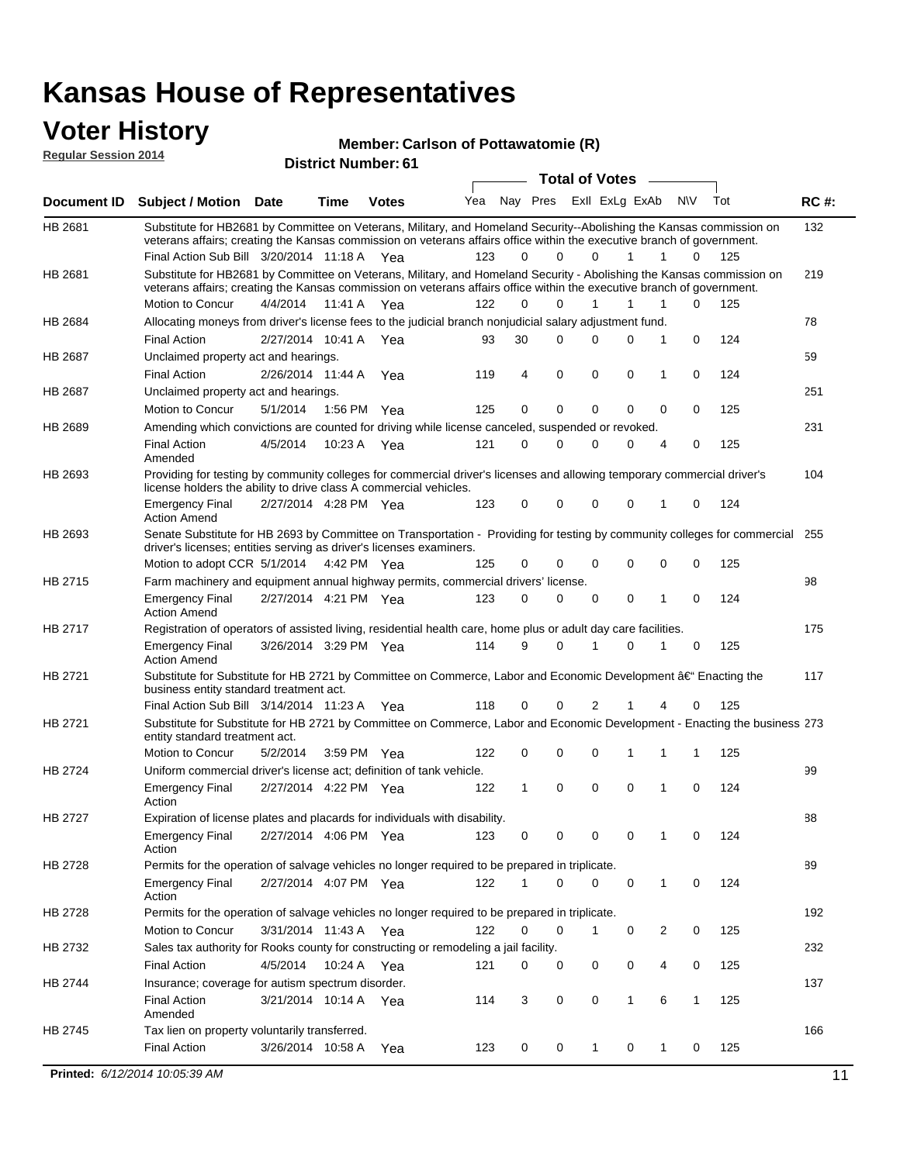#### **Voter History Regular Session 2014**

#### **Member: Carlson of Pottawatomie (R)**

| noguidi ocoololi 4017 |                                                                                                                                                                                                                                                                     |                       |             | <b>District Number: 61</b> |     |              |             |                       |                |                |           |     |             |
|-----------------------|---------------------------------------------------------------------------------------------------------------------------------------------------------------------------------------------------------------------------------------------------------------------|-----------------------|-------------|----------------------------|-----|--------------|-------------|-----------------------|----------------|----------------|-----------|-----|-------------|
|                       |                                                                                                                                                                                                                                                                     |                       |             |                            |     |              |             | <b>Total of Votes</b> |                |                |           |     |             |
| <b>Document ID</b>    | <b>Subject / Motion Date</b>                                                                                                                                                                                                                                        |                       | <b>Time</b> | <b>Votes</b>               | Yea |              | Nay Pres    |                       | ExII ExLg ExAb |                | <b>NV</b> | Tot | <b>RC#:</b> |
| HB 2681               | Substitute for HB2681 by Committee on Veterans, Military, and Homeland Security--Abolishing the Kansas commission on<br>veterans affairs; creating the Kansas commission on veterans affairs office within the executive branch of government.                      |                       |             |                            |     |              |             |                       |                |                |           |     | 132         |
|                       | Final Action Sub Bill 3/20/2014 11:18 A Yea                                                                                                                                                                                                                         |                       |             |                            | 123 | 0            | 0           | $\Omega$              | 1              |                | 0         | 125 |             |
| HB 2681               | Substitute for HB2681 by Committee on Veterans, Military, and Homeland Security - Abolishing the Kansas commission on<br>veterans affairs; creating the Kansas commission on veterans affairs office within the executive branch of government.<br>Motion to Concur | 4/4/2014              | 11:41 A     | Yea                        | 122 | $\Omega$     | $\Omega$    | 1                     | 1              | 1              | 0         | 125 | 219         |
| HB 2684               | Allocating moneys from driver's license fees to the judicial branch nonjudicial salary adjustment fund.                                                                                                                                                             |                       |             |                            |     |              |             |                       |                |                |           |     | 78          |
|                       | <b>Final Action</b>                                                                                                                                                                                                                                                 | 2/27/2014 10:41 A     |             | Yea                        | 93  | 30           | $\Omega$    | $\Omega$              | 0              | 1              | 0         | 124 |             |
| HB 2687               | Unclaimed property act and hearings.                                                                                                                                                                                                                                |                       |             |                            |     |              |             |                       |                |                |           |     | 59          |
|                       | <b>Final Action</b>                                                                                                                                                                                                                                                 | 2/26/2014 11:44 A     |             | Yea                        | 119 | 4            | $\mathbf 0$ | $\mathbf 0$           | 0              | 1              | 0         | 124 |             |
| HB 2687               | Unclaimed property act and hearings.                                                                                                                                                                                                                                |                       |             |                            |     |              |             |                       |                |                |           |     | 251         |
|                       | Motion to Concur                                                                                                                                                                                                                                                    | 5/1/2014              | 1:56 PM     | Yea                        | 125 | 0            | 0           | $\mathbf 0$           | 0              | 0              | 0         | 125 |             |
| HB 2689               | Amending which convictions are counted for driving while license canceled, suspended or revoked.                                                                                                                                                                    |                       |             |                            |     |              |             |                       |                |                |           |     | 231         |
|                       | <b>Final Action</b><br>Amended                                                                                                                                                                                                                                      | 4/5/2014              | 10:23 A     | Yea                        | 121 | 0            | 0           | $\Omega$              | 0              | 4              | 0         | 125 |             |
| HB 2693               | Providing for testing by community colleges for commercial driver's licenses and allowing temporary commercial driver's<br>license holders the ability to drive class A commercial vehicles.                                                                        |                       |             |                            |     |              |             |                       |                |                |           |     | 104         |
|                       | <b>Emergency Final</b><br><b>Action Amend</b>                                                                                                                                                                                                                       | 2/27/2014 4:28 PM Yea |             |                            | 123 | 0            | 0           | $\Omega$              | 0              | 1              | 0         | 124 |             |
| HB 2693               | Senate Substitute for HB 2693 by Committee on Transportation - Providing for testing by community colleges for commercial 255<br>driver's licenses; entities serving as driver's licenses examiners.                                                                |                       |             |                            |     |              |             |                       |                |                |           |     |             |
|                       | Motion to adopt CCR 5/1/2014                                                                                                                                                                                                                                        |                       |             | 4:42 PM Yea                | 125 | 0            | 0           | 0                     | 0              | 0              | 0         | 125 |             |
| HB 2715               | Farm machinery and equipment annual highway permits, commercial drivers' license.                                                                                                                                                                                   |                       |             |                            |     |              |             |                       |                |                |           |     | 98          |
|                       | <b>Emergency Final</b><br><b>Action Amend</b>                                                                                                                                                                                                                       | 2/27/2014 4:21 PM Yea |             |                            | 123 | 0            | 0           | 0                     | 0              | 1              | 0         | 124 |             |
| HB 2717               | Registration of operators of assisted living, residential health care, home plus or adult day care facilities.                                                                                                                                                      |                       |             |                            |     |              |             |                       |                |                |           |     | 175         |
|                       | <b>Emergency Final</b><br><b>Action Amend</b>                                                                                                                                                                                                                       | 3/26/2014 3:29 PM Yea |             |                            | 114 | 9            | 0           | 1                     | 0              |                | 0         | 125 |             |
| HB 2721               | Substitute for Substitute for HB 2721 by Committee on Commerce, Labor and Economic Development †Enacting the<br>business entity standard treatment act.                                                                                                             |                       |             |                            |     |              |             |                       |                |                |           |     | 117         |
|                       | Final Action Sub Bill 3/14/2014 11:23 A Yea                                                                                                                                                                                                                         |                       |             |                            | 118 | 0            | 0           | 2                     |                | 4              | 0         | 125 |             |
| HB 2721               | Substitute for Substitute for HB 2721 by Committee on Commerce, Labor and Economic Development - Enacting the business 273<br>entity standard treatment act.                                                                                                        |                       |             |                            |     |              |             |                       |                |                |           |     |             |
|                       | Motion to Concur                                                                                                                                                                                                                                                    | 5/2/2014              |             | 3:59 PM Yea                | 122 | 0            | 0           | 0                     |                |                | 1         | 125 |             |
| HB 2724               | Uniform commercial driver's license act; definition of tank vehicle.                                                                                                                                                                                                |                       |             |                            |     |              |             |                       |                |                |           |     | 99          |
|                       | <b>Emergency Final</b><br>Action                                                                                                                                                                                                                                    | 2/27/2014 4:22 PM Yea |             |                            | 122 | $\mathbf{1}$ | 0           | $\mathbf 0$           | 0              | 1              | 0         | 124 |             |
| HB 2727               | Expiration of license plates and placards for individuals with disability.                                                                                                                                                                                          |                       |             |                            |     |              |             |                       |                |                |           |     | 88          |
|                       | <b>Emergency Final</b><br>Action                                                                                                                                                                                                                                    | 2/27/2014 4:06 PM Yea |             |                            | 123 | 0            | 0           | 0                     | 0              | 1              | 0         | 124 |             |
| HB 2728               | Permits for the operation of salvage vehicles no longer required to be prepared in triplicate.                                                                                                                                                                      |                       |             |                            |     |              |             |                       |                |                |           |     | 89          |
|                       | <b>Emergency Final</b><br>Action                                                                                                                                                                                                                                    | 2/27/2014 4:07 PM Yea |             |                            | 122 | 1            | 0           | $\mathbf 0$           | 0              | $\mathbf{1}$   | 0         | 124 |             |
| HB 2728               | Permits for the operation of salvage vehicles no longer required to be prepared in triplicate.                                                                                                                                                                      |                       |             |                            |     |              |             |                       |                |                |           |     | 192         |
|                       | <b>Motion to Concur</b>                                                                                                                                                                                                                                             | 3/31/2014 11:43 A Yea |             |                            | 122 | 0            | 0           | 1                     | 0              | $\overline{c}$ | 0         | 125 |             |
| HB 2732               | Sales tax authority for Rooks county for constructing or remodeling a jail facility.                                                                                                                                                                                |                       |             |                            |     |              |             |                       |                |                |           |     | 232         |
|                       | <b>Final Action</b>                                                                                                                                                                                                                                                 | 4/5/2014              |             | 10:24 A Yea                | 121 | 0            | 0           | 0                     | 0              | 4              | 0         | 125 |             |
| HB 2744               | Insurance; coverage for autism spectrum disorder.                                                                                                                                                                                                                   |                       |             |                            |     |              |             |                       |                |                |           |     | 137         |
|                       | <b>Final Action</b><br>Amended                                                                                                                                                                                                                                      | 3/21/2014 10:14 A Yea |             |                            | 114 | 3            | 0           | 0                     | 1              | 6              | 1         | 125 |             |
| HB 2745               | Tax lien on property voluntarily transferred.                                                                                                                                                                                                                       |                       |             |                            |     |              |             |                       |                |                |           |     | 166         |
|                       | <b>Final Action</b>                                                                                                                                                                                                                                                 | 3/26/2014 10:58 A     |             | Yea                        | 123 | 0            | 0           | 1                     | 0              | 1              | 0         | 125 |             |

**Printed:**  $6/12/2014$  10:05:39 AM 11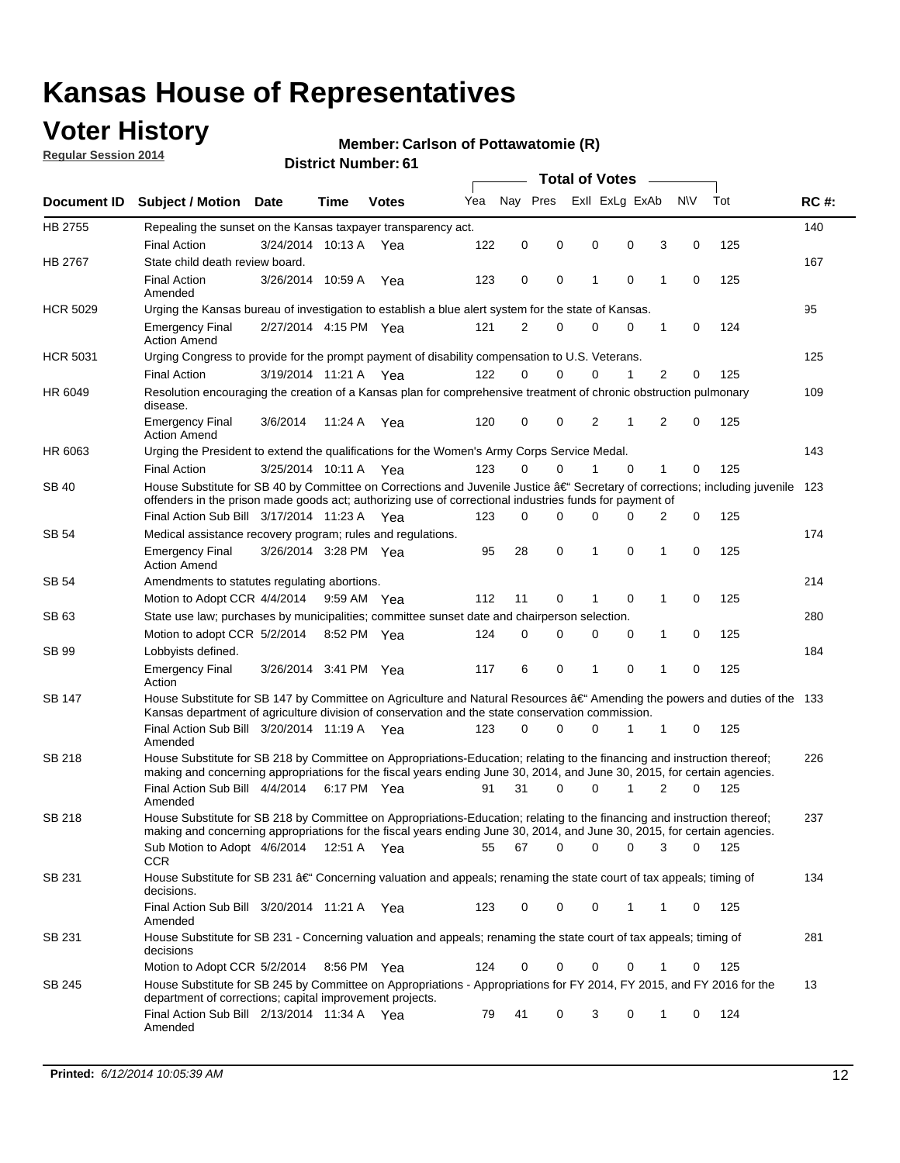### **Voter History**

**Regular Session 2014**

#### **Member: Carlson of Pottawatomie (R)**

|                 |                                                                                                                                                                                                                                                      |                       |             |              |     | <b>Total of Votes</b> |          |                |          |   |             |       |             |  |
|-----------------|------------------------------------------------------------------------------------------------------------------------------------------------------------------------------------------------------------------------------------------------------|-----------------------|-------------|--------------|-----|-----------------------|----------|----------------|----------|---|-------------|-------|-------------|--|
|                 | Document ID Subject / Motion Date                                                                                                                                                                                                                    |                       | Time        | <b>Votes</b> | Yea | Nav Pres              |          | Exll ExLg ExAb |          |   | <b>NV</b>   | Tot   | <b>RC#:</b> |  |
| HB 2755         | Repealing the sunset on the Kansas taxpayer transparency act.                                                                                                                                                                                        |                       |             |              |     |                       |          |                |          |   |             |       | 140         |  |
|                 | <b>Final Action</b>                                                                                                                                                                                                                                  | 3/24/2014 10:13 A     |             | Yea          | 122 | 0                     | 0        | 0              | 0        | 3 | 0           | 125   |             |  |
| HB 2767         | State child death review board.                                                                                                                                                                                                                      |                       |             |              |     |                       |          |                |          |   |             |       | 167         |  |
|                 | <b>Final Action</b><br>Amended                                                                                                                                                                                                                       | 3/26/2014 10:59 A     |             | Yea          | 123 | 0                     | 0        | 1              | 0        | 1 | 0           | 125   |             |  |
| <b>HCR 5029</b> | Urging the Kansas bureau of investigation to establish a blue alert system for the state of Kansas.                                                                                                                                                  |                       |             |              |     |                       |          |                |          |   |             |       | 95          |  |
|                 | <b>Emergency Final</b><br><b>Action Amend</b>                                                                                                                                                                                                        | 2/27/2014 4:15 PM Yea |             |              | 121 | 2                     | 0        | 0              | 0        | 1 | 0           | 124   |             |  |
| <b>HCR 5031</b> | Urging Congress to provide for the prompt payment of disability compensation to U.S. Veterans.                                                                                                                                                       |                       |             |              |     |                       |          |                |          |   |             |       | 125         |  |
|                 | <b>Final Action</b>                                                                                                                                                                                                                                  | 3/19/2014 11:21 A Yea |             |              | 122 | $\Omega$              | $\Omega$ | 0              | 1        | 2 | 0           | 125   |             |  |
| HR 6049         | Resolution encouraging the creation of a Kansas plan for comprehensive treatment of chronic obstruction pulmonary<br>disease.<br>11:24 A Yea                                                                                                         |                       |             |              |     |                       |          |                |          |   |             |       |             |  |
|                 | <b>Emergency Final</b><br><b>Action Amend</b>                                                                                                                                                                                                        | 3/6/2014              |             |              | 120 | 0                     | 0        | 2              | 1        | 2 | $\mathbf 0$ | 125   |             |  |
| HR 6063         | Urging the President to extend the qualifications for the Women's Army Corps Service Medal.                                                                                                                                                          |                       |             |              |     |                       |          |                |          |   |             |       | 143         |  |
|                 | <b>Final Action</b>                                                                                                                                                                                                                                  | 3/25/2014 10:11 A Yea |             |              | 123 | $\Omega$              | 0        | 1              | $\Omega$ | 1 | 0           | 125   |             |  |
| <b>SB 40</b>    | House Substitute for SB 40 by Committee on Corrections and Juvenile Justice †Secretary of corrections; including juvenile<br>offenders in the prison made goods act; authorizing use of correctional industries funds for payment of                 |                       |             |              |     |                       |          |                |          |   |             |       |             |  |
|                 | Final Action Sub Bill 3/17/2014 11:23 A Yea                                                                                                                                                                                                          |                       |             |              | 123 | $\Omega$              | 0        | 0              | U        | 2 | 0           | 125   |             |  |
| SB 54           | Medical assistance recovery program; rules and regulations.                                                                                                                                                                                          |                       |             |              |     |                       |          |                |          |   |             |       | 174         |  |
|                 | <b>Emergency Final</b><br><b>Action Amend</b>                                                                                                                                                                                                        | 3/26/2014 3:28 PM Yea |             |              | 95  | 28                    | 0        | 1              | 0        | 1 | 0           | 125   |             |  |
| SB 54           | Amendments to statutes regulating abortions.                                                                                                                                                                                                         |                       |             |              |     |                       |          |                |          |   |             |       | 214         |  |
|                 | Motion to Adopt CCR 4/4/2014 9:59 AM Yea                                                                                                                                                                                                             |                       |             |              | 112 | 11                    | 0        | 1              | 0        | 1 | 0           | 125   |             |  |
| SB 63           | State use law; purchases by municipalities; committee sunset date and chairperson selection.                                                                                                                                                         |                       |             |              |     |                       |          |                |          |   |             |       | 280         |  |
|                 | Motion to adopt CCR 5/2/2014 8:52 PM Yea                                                                                                                                                                                                             |                       |             |              | 124 | 0                     | 0        | 0              | 0        | 1 | 0           | 125   |             |  |
| SB 99           | Lobbyists defined.                                                                                                                                                                                                                                   |                       |             |              |     |                       |          |                |          |   |             |       | 184         |  |
|                 | <b>Emergency Final</b><br>Action                                                                                                                                                                                                                     | 3/26/2014 3:41 PM Yea |             |              | 117 | 6                     | 0        | 1              | 0        | 1 | 0           | 125   |             |  |
| SB 147          | House Substitute for SB 147 by Committee on Agriculture and Natural Resources †Amending the powers and duties of the 133<br>Kansas department of agriculture division of conservation and the state conservation commission.                         |                       |             |              |     |                       |          |                |          |   |             |       |             |  |
|                 | Final Action Sub Bill 3/20/2014 11:19 A Yea<br>Amended                                                                                                                                                                                               |                       |             |              | 123 | $\Omega$              | $\Omega$ | 0              | 1        | 1 | 0           | 125   |             |  |
| SB 218          | House Substitute for SB 218 by Committee on Appropriations-Education; relating to the financing and instruction thereof;<br>making and concerning appropriations for the fiscal years ending June 30, 2014, and June 30, 2015, for certain agencies. |                       |             |              |     |                       |          |                |          |   |             |       | 226         |  |
|                 | Final Action Sub Bill 4/4/2014 6:17 PM Yea<br>Amended                                                                                                                                                                                                |                       |             |              | 91  | 31                    | $\Omega$ | 0              | 1        | 2 | $\Omega$    | 125   |             |  |
| SB 218          | House Substitute for SB 218 by Committee on Appropriations-Education; relating to the financing and instruction thereof;                                                                                                                             |                       |             |              |     |                       |          |                |          |   |             |       | 237         |  |
|                 | making and concerning appropriations for the fiscal years ending June 30, 2014, and June 30, 2015, for certain agencies.<br>Sub Motion to Adopt 4/6/2014 12:51 A Yea<br>CCR                                                                          |                       |             |              | 55  | 67                    | 0        | 0              | 0        | 3 | 0           | - 125 |             |  |
| SB 231          | House Substitute for SB 231 †Concerning valuation and appeals; renaming the state court of tax appeals; timing of<br>decisions.                                                                                                                      |                       |             |              |     |                       |          |                |          |   |             |       | 134         |  |
|                 | Final Action Sub Bill 3/20/2014 11:21 A Yea<br>Amended                                                                                                                                                                                               |                       |             |              | 123 | 0                     | 0        | 0              | 1        | 1 | 0           | 125   |             |  |
| SB 231          | House Substitute for SB 231 - Concerning valuation and appeals; renaming the state court of tax appeals; timing of<br>decisions                                                                                                                      |                       |             |              |     |                       |          |                |          |   |             |       | 281         |  |
|                 | Motion to Adopt CCR 5/2/2014                                                                                                                                                                                                                         |                       | 8:56 PM Yea |              | 124 | 0                     | 0        | 0              | 0        | 1 | 0           | 125   |             |  |
| SB 245          | House Substitute for SB 245 by Committee on Appropriations - Appropriations for FY 2014, FY 2015, and FY 2016 for the<br>department of corrections; capital improvement projects.                                                                    |                       |             |              |     |                       |          |                |          |   |             |       | 13          |  |
|                 | Final Action Sub Bill 2/13/2014 11:34 A Yea<br>Amended                                                                                                                                                                                               |                       |             |              | 79  | 41                    | 0        | 3              | 0        | 1 | 0           | 124   |             |  |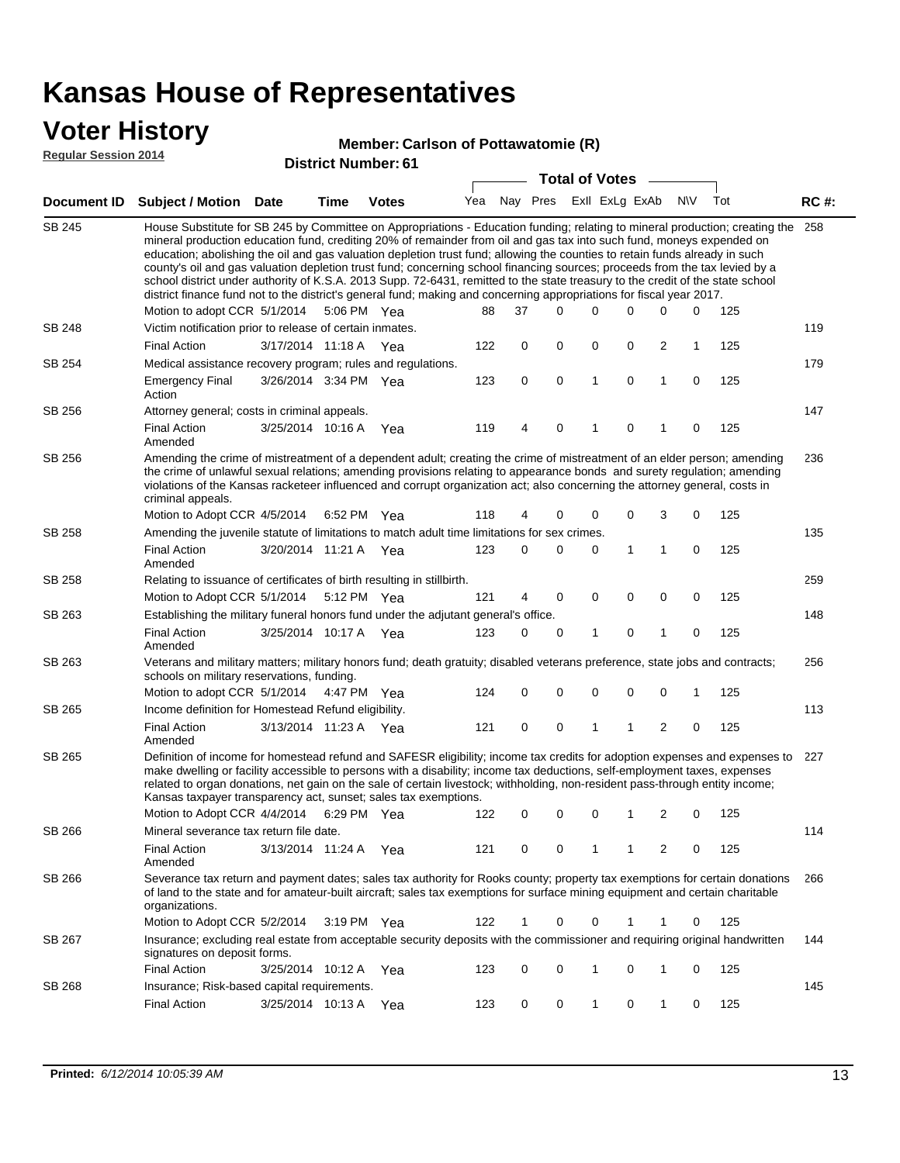### **Voter History**

#### **Member: Carlson of Pottawatomie (R)**

**Regular Session 2014**

|               |                                                                                                                                                                                                                                                                                                                                                                                                                                                                                                                                                                                                                                                                                                                                                                               |                       |      |               |     |              |          | <b>Total of Votes</b> |  |   |   |             |     |             |  |  |  |  |  |  |  |
|---------------|-------------------------------------------------------------------------------------------------------------------------------------------------------------------------------------------------------------------------------------------------------------------------------------------------------------------------------------------------------------------------------------------------------------------------------------------------------------------------------------------------------------------------------------------------------------------------------------------------------------------------------------------------------------------------------------------------------------------------------------------------------------------------------|-----------------------|------|---------------|-----|--------------|----------|-----------------------|--|---|---|-------------|-----|-------------|--|--|--|--|--|--|--|
| Document ID   | Subject / Motion Date                                                                                                                                                                                                                                                                                                                                                                                                                                                                                                                                                                                                                                                                                                                                                         |                       | Time | Votes         |     | Yea Nay Pres |          | Exll ExLg ExAb        |  |   |   | <b>NV</b>   | Tot | <b>RC#:</b> |  |  |  |  |  |  |  |
| SB 245        | House Substitute for SB 245 by Committee on Appropriations - Education funding; relating to mineral production; creating the<br>mineral production education fund, crediting 20% of remainder from oil and gas tax into such fund, moneys expended on<br>education; abolishing the oil and gas valuation depletion trust fund; allowing the counties to retain funds already in such<br>county's oil and gas valuation depletion trust fund; concerning school financing sources; proceeds from the tax levied by a<br>school district under authority of K.S.A. 2013 Supp. 72-6431, remitted to the state treasury to the credit of the state school<br>district finance fund not to the district's general fund; making and concerning appropriations for fiscal year 2017. |                       |      |               |     |              |          |                       |  |   |   |             |     | 258         |  |  |  |  |  |  |  |
|               | Motion to adopt CCR 5/1/2014 5:06 PM Yea                                                                                                                                                                                                                                                                                                                                                                                                                                                                                                                                                                                                                                                                                                                                      |                       |      |               | 88  | 37           | $\Omega$ | 0                     |  | 0 | 0 | 0           | 125 |             |  |  |  |  |  |  |  |
| SB 248        | Victim notification prior to release of certain inmates.                                                                                                                                                                                                                                                                                                                                                                                                                                                                                                                                                                                                                                                                                                                      |                       |      |               |     |              |          |                       |  |   |   |             |     | 119         |  |  |  |  |  |  |  |
|               | <b>Final Action</b>                                                                                                                                                                                                                                                                                                                                                                                                                                                                                                                                                                                                                                                                                                                                                           | 3/17/2014 11:18 A Yea |      |               | 122 | 0            | 0        | 0                     |  | 0 | 2 | 1           | 125 |             |  |  |  |  |  |  |  |
| SB 254        | Medical assistance recovery program; rules and regulations.                                                                                                                                                                                                                                                                                                                                                                                                                                                                                                                                                                                                                                                                                                                   |                       |      |               |     |              |          |                       |  |   |   |             |     | 179         |  |  |  |  |  |  |  |
|               | <b>Emergency Final</b><br>Action                                                                                                                                                                                                                                                                                                                                                                                                                                                                                                                                                                                                                                                                                                                                              | 3/26/2014 3:34 PM Yea |      |               | 123 | 0            | 0        | $\mathbf{1}$          |  | 0 | 1 | 0           | 125 |             |  |  |  |  |  |  |  |
| SB 256        | Attorney general; costs in criminal appeals.                                                                                                                                                                                                                                                                                                                                                                                                                                                                                                                                                                                                                                                                                                                                  |                       |      |               |     |              |          |                       |  |   |   |             |     | 147         |  |  |  |  |  |  |  |
|               | <b>Final Action</b><br>Amended                                                                                                                                                                                                                                                                                                                                                                                                                                                                                                                                                                                                                                                                                                                                                | 3/25/2014 10:16 A     |      | Yea           | 119 | 4            | 0        | 1                     |  | 0 | 1 | 0           | 125 |             |  |  |  |  |  |  |  |
| SB 256        | Amending the crime of mistreatment of a dependent adult; creating the crime of mistreatment of an elder person; amending<br>the crime of unlawful sexual relations; amending provisions relating to appearance bonds and surety regulation; amending<br>violations of the Kansas racketeer influenced and corrupt organization act; also concerning the attorney general, costs in<br>criminal appeals.                                                                                                                                                                                                                                                                                                                                                                       |                       |      |               |     |              |          |                       |  |   |   |             |     | 236         |  |  |  |  |  |  |  |
|               | Motion to Adopt CCR 4/5/2014 6:52 PM Yea                                                                                                                                                                                                                                                                                                                                                                                                                                                                                                                                                                                                                                                                                                                                      |                       |      |               | 118 | 4            | 0        | 0                     |  | 0 | 3 | 0           | 125 |             |  |  |  |  |  |  |  |
| SB 258        | Amending the juvenile statute of limitations to match adult time limitations for sex crimes.                                                                                                                                                                                                                                                                                                                                                                                                                                                                                                                                                                                                                                                                                  |                       |      |               |     |              |          |                       |  |   |   |             | 135 |             |  |  |  |  |  |  |  |
|               | <b>Final Action</b><br>Amended                                                                                                                                                                                                                                                                                                                                                                                                                                                                                                                                                                                                                                                                                                                                                | 3/20/2014 11:21 A Yea |      |               | 123 | $\Omega$     | 0        | 0                     |  | 1 | 1 | $\mathbf 0$ | 125 |             |  |  |  |  |  |  |  |
| SB 258        | Relating to issuance of certificates of birth resulting in stillbirth.                                                                                                                                                                                                                                                                                                                                                                                                                                                                                                                                                                                                                                                                                                        |                       |      |               |     |              |          |                       |  |   |   |             | 259 |             |  |  |  |  |  |  |  |
|               | Motion to Adopt CCR 5/1/2014                                                                                                                                                                                                                                                                                                                                                                                                                                                                                                                                                                                                                                                                                                                                                  |                       |      | 5:12 PM Yea   | 121 | 4            | 0        | 0                     |  | 0 | 0 | 0           | 125 |             |  |  |  |  |  |  |  |
| SB 263        | Establishing the military funeral honors fund under the adjutant general's office.                                                                                                                                                                                                                                                                                                                                                                                                                                                                                                                                                                                                                                                                                            |                       |      |               |     |              |          |                       |  |   |   |             |     | 148         |  |  |  |  |  |  |  |
|               | Final Action<br>Amended                                                                                                                                                                                                                                                                                                                                                                                                                                                                                                                                                                                                                                                                                                                                                       | 3/25/2014 10:17 A Yea |      |               | 123 | 0            | 0        | 1                     |  | 0 | 1 | 0           | 125 |             |  |  |  |  |  |  |  |
| SB 263        | Veterans and military matters; military honors fund; death gratuity; disabled veterans preference, state jobs and contracts;<br>schools on military reservations, funding.                                                                                                                                                                                                                                                                                                                                                                                                                                                                                                                                                                                                    |                       |      |               |     |              |          |                       |  |   |   |             |     | 256         |  |  |  |  |  |  |  |
|               | Motion to adopt CCR 5/1/2014 4:47 PM Yea                                                                                                                                                                                                                                                                                                                                                                                                                                                                                                                                                                                                                                                                                                                                      |                       |      |               | 124 | 0            | 0        | 0                     |  | 0 | 0 | 1           | 125 |             |  |  |  |  |  |  |  |
| SB 265        | Income definition for Homestead Refund eligibility.                                                                                                                                                                                                                                                                                                                                                                                                                                                                                                                                                                                                                                                                                                                           |                       |      |               |     |              |          |                       |  |   |   |             |     | 113         |  |  |  |  |  |  |  |
|               | <b>Final Action</b><br>Amended                                                                                                                                                                                                                                                                                                                                                                                                                                                                                                                                                                                                                                                                                                                                                | 3/13/2014 11:23 A Yea |      |               | 121 | 0            | 0        | 1                     |  | 1 | 2 | $\mathbf 0$ | 125 |             |  |  |  |  |  |  |  |
| SB 265        | Definition of income for homestead refund and SAFESR eligibility; income tax credits for adoption expenses and expenses to<br>make dwelling or facility accessible to persons with a disability; income tax deductions, self-employment taxes, expenses<br>related to organ donations, net gain on the sale of certain livestock; withholding, non-resident pass-through entity income;<br>Kansas taxpayer transparency act, sunset; sales tax exemptions.<br>Motion to Adopt CCR 4/4/2014 6:29 PM Yea<br>2<br>125<br>0<br>0<br>0<br>0<br>1                                                                                                                                                                                                                                   |                       |      |               |     |              |          |                       |  |   |   | 227         |     |             |  |  |  |  |  |  |  |
| <b>SB 266</b> | Mineral severance tax return file date.                                                                                                                                                                                                                                                                                                                                                                                                                                                                                                                                                                                                                                                                                                                                       |                       |      |               | 122 |              |          |                       |  |   |   |             |     | 114         |  |  |  |  |  |  |  |
|               | <b>Final Action</b><br>Amended                                                                                                                                                                                                                                                                                                                                                                                                                                                                                                                                                                                                                                                                                                                                                | 3/13/2014 11:24 A Yea |      |               | 121 | 0            | 0        | 1                     |  | 1 | 2 | 0           | 125 |             |  |  |  |  |  |  |  |
| SB 266        | Severance tax return and payment dates; sales tax authority for Rooks county; property tax exemptions for certain donations<br>of land to the state and for amateur-built aircraft; sales tax exemptions for surface mining equipment and certain charitable<br>organizations.                                                                                                                                                                                                                                                                                                                                                                                                                                                                                                |                       |      |               |     |              |          |                       |  |   |   |             |     | 266         |  |  |  |  |  |  |  |
|               | Motion to Adopt CCR 5/2/2014                                                                                                                                                                                                                                                                                                                                                                                                                                                                                                                                                                                                                                                                                                                                                  |                       |      | $3:19$ PM Yea | 122 | 1            | 0        | 0                     |  | 1 | 1 | 0           | 125 |             |  |  |  |  |  |  |  |
| SB 267        | Insurance; excluding real estate from acceptable security deposits with the commissioner and requiring original handwritten<br>signatures on deposit forms.                                                                                                                                                                                                                                                                                                                                                                                                                                                                                                                                                                                                                   |                       |      |               |     |              |          |                       |  |   |   |             |     | 144         |  |  |  |  |  |  |  |
|               | <b>Final Action</b>                                                                                                                                                                                                                                                                                                                                                                                                                                                                                                                                                                                                                                                                                                                                                           | 3/25/2014 10:12 A Yea |      |               | 123 | 0            | 0        | 1                     |  | 0 | 1 | 0           | 125 |             |  |  |  |  |  |  |  |
| SB 268        | Insurance; Risk-based capital requirements.                                                                                                                                                                                                                                                                                                                                                                                                                                                                                                                                                                                                                                                                                                                                   |                       |      |               |     |              |          |                       |  |   |   |             |     | 145         |  |  |  |  |  |  |  |
|               | <b>Final Action</b>                                                                                                                                                                                                                                                                                                                                                                                                                                                                                                                                                                                                                                                                                                                                                           | 3/25/2014 10:13 A     |      | Yea           | 123 | 0            | 0        | 1                     |  | 0 | 1 | 0           | 125 |             |  |  |  |  |  |  |  |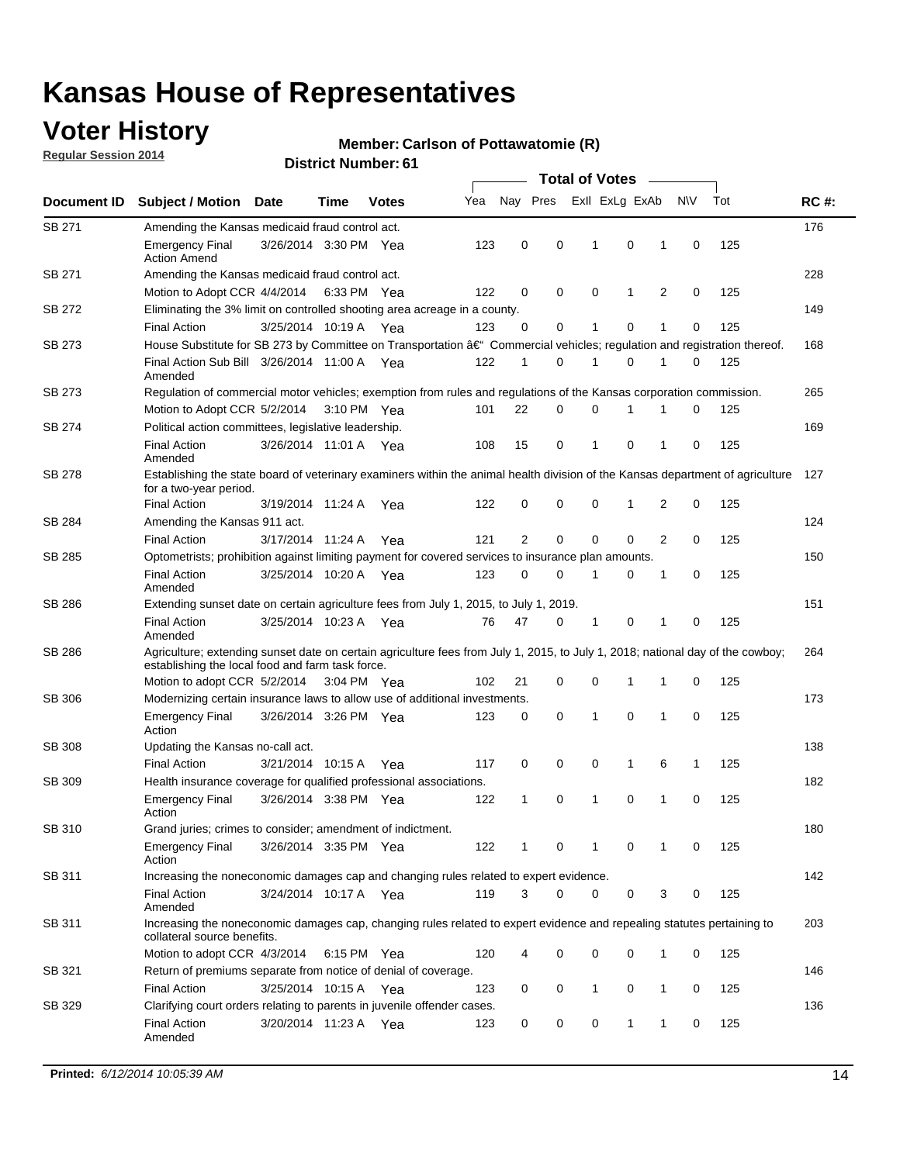### **Voter History**

**Regular Session 2014**

#### **Member: Carlson of Pottawatomie (R)**

|               |                                                                                                                                                                                    |                       |      |              |     | <b>Total of Votes</b> |          |                |              |                |           |     |             |  |  |  |  |  |
|---------------|------------------------------------------------------------------------------------------------------------------------------------------------------------------------------------|-----------------------|------|--------------|-----|-----------------------|----------|----------------|--------------|----------------|-----------|-----|-------------|--|--|--|--|--|
| Document ID   | <b>Subject / Motion</b>                                                                                                                                                            | <b>Date</b>           | Time | <b>Votes</b> | Yea | Nay Pres              |          | Exll ExLg ExAb |              |                | <b>NV</b> | Tot | <b>RC#:</b> |  |  |  |  |  |
| SB 271        | Amending the Kansas medicaid fraud control act.                                                                                                                                    |                       |      |              |     |                       |          |                |              |                |           |     | 176         |  |  |  |  |  |
|               | <b>Emergency Final</b><br><b>Action Amend</b>                                                                                                                                      | 3/26/2014 3:30 PM Yea |      |              | 123 | 0                     | 0        | 1              | 0            | 1              | 0         | 125 |             |  |  |  |  |  |
| SB 271        | Amending the Kansas medicaid fraud control act.                                                                                                                                    |                       |      |              |     |                       |          |                |              |                |           |     | 228         |  |  |  |  |  |
|               | Motion to Adopt CCR 4/4/2014 6:33 PM Yea                                                                                                                                           |                       |      |              | 122 | 0                     | 0        | 0              | 1            | $\overline{2}$ | 0         | 125 |             |  |  |  |  |  |
| SB 272        | Eliminating the 3% limit on controlled shooting area acreage in a county.                                                                                                          |                       |      |              |     |                       |          |                |              |                |           |     | 149         |  |  |  |  |  |
|               | <b>Final Action</b>                                                                                                                                                                | 3/25/2014 10:19 A     |      | Yea          | 123 | 0                     | 0        | 1              | 0            | 1              | 0         | 125 |             |  |  |  |  |  |
| <b>SB 273</b> | House Substitute for SB 273 by Committee on Transportation â€ <sup>4</sup> Commercial vehicles; regulation and registration thereof.                                               |                       |      |              |     |                       |          |                |              |                |           |     | 168         |  |  |  |  |  |
|               | Final Action Sub Bill 3/26/2014 11:00 A Yea<br>Amended                                                                                                                             |                       |      |              | 122 | 1                     | 0        | 1              | 0            | 1              | 0         | 125 |             |  |  |  |  |  |
| SB 273        | Regulation of commercial motor vehicles; exemption from rules and regulations of the Kansas corporation commission.                                                                |                       |      |              |     |                       |          |                |              |                |           |     | 265         |  |  |  |  |  |
|               | Motion to Adopt CCR 5/2/2014 3:10 PM Yea                                                                                                                                           |                       |      |              | 101 | 22                    | 0        | 0              | 1            |                | 0         | 125 |             |  |  |  |  |  |
| SB 274        | Political action committees, legislative leadership.                                                                                                                               |                       |      |              |     |                       |          |                |              |                |           |     | 169         |  |  |  |  |  |
|               | <b>Final Action</b><br>Amended                                                                                                                                                     | 3/26/2014 11:01 A Yea |      |              | 108 | 15                    | 0        | 1              | 0            | 1              | 0         | 125 |             |  |  |  |  |  |
| SB 278        | Establishing the state board of veterinary examiners within the animal health division of the Kansas department of agriculture<br>for a two-year period.                           |                       |      |              |     |                       |          |                |              |                |           |     |             |  |  |  |  |  |
|               | <b>Final Action</b>                                                                                                                                                                | 3/19/2014 11:24 A     |      | Yea          | 122 | 0                     | 0        | 0              | 1            | 2              | 0         | 125 |             |  |  |  |  |  |
| SB 284        | Amending the Kansas 911 act.                                                                                                                                                       |                       |      |              |     |                       |          |                |              |                |           |     | 124         |  |  |  |  |  |
|               | <b>Final Action</b>                                                                                                                                                                | 3/17/2014 11:24 A     |      | Yea          | 121 | 2                     | 0        | 0              | 0            | $\overline{2}$ | 0         | 125 |             |  |  |  |  |  |
| SB 285        | Optometrists; prohibition against limiting payment for covered services to insurance plan amounts.                                                                                 |                       |      |              |     |                       |          |                |              |                |           |     | 150         |  |  |  |  |  |
|               | <b>Final Action</b><br>Amended                                                                                                                                                     | 3/25/2014 10:20 A     |      | Yea          | 123 | 0                     | 0        | 1              | 0            | 1              | 0         | 125 |             |  |  |  |  |  |
| SB 286        | Extending sunset date on certain agriculture fees from July 1, 2015, to July 1, 2019.                                                                                              |                       |      |              |     |                       |          |                |              |                |           |     | 151         |  |  |  |  |  |
|               | <b>Final Action</b><br>Amended                                                                                                                                                     | 3/25/2014 10:23 A Yea |      |              | 76  | 47                    | 0        | 1              | 0            | 1              | 0         | 125 |             |  |  |  |  |  |
| SB 286        | Agriculture; extending sunset date on certain agriculture fees from July 1, 2015, to July 1, 2018; national day of the cowboy;<br>establishing the local food and farm task force. |                       |      |              |     |                       |          |                |              |                |           |     | 264         |  |  |  |  |  |
|               | Motion to adopt CCR 5/2/2014 3:04 PM Yea                                                                                                                                           |                       |      |              | 102 | 21                    | 0        | 0              | 1            | 1              | 0         | 125 |             |  |  |  |  |  |
| SB 306        | Modernizing certain insurance laws to allow use of additional investments.                                                                                                         |                       |      |              |     |                       |          |                |              |                |           |     | 173         |  |  |  |  |  |
|               | <b>Emergency Final</b><br>Action                                                                                                                                                   | 3/26/2014 3:26 PM Yea |      |              | 123 | 0                     | 0        | 1              | 0            | 1              | 0         | 125 |             |  |  |  |  |  |
| <b>SB 308</b> | Updating the Kansas no-call act.                                                                                                                                                   |                       |      |              |     |                       |          |                |              |                |           |     | 138         |  |  |  |  |  |
|               | <b>Final Action</b>                                                                                                                                                                | 3/21/2014 10:15 A     |      | Yea          | 117 | 0                     | 0        | 0              | $\mathbf{1}$ | 6              | 1         | 125 |             |  |  |  |  |  |
| SB 309        | Health insurance coverage for qualified professional associations.                                                                                                                 |                       |      |              |     |                       |          |                |              |                |           |     | 182         |  |  |  |  |  |
|               | <b>Emergency Final</b><br>Action                                                                                                                                                   | 3/26/2014 3:38 PM Yea |      |              | 122 | 1                     | 0        | 1              | 0            | 1              | 0         | 125 |             |  |  |  |  |  |
| SB 310        | Grand juries; crimes to consider; amendment of indictment.                                                                                                                         |                       |      |              |     |                       |          |                |              |                |           |     | 180         |  |  |  |  |  |
|               | <b>Emergency Final</b><br>Action                                                                                                                                                   | 3/26/2014 3:35 PM Yea |      |              | 122 |                       | 0        |                | 0            |                | 0         | 125 |             |  |  |  |  |  |
| SB 311        | Increasing the noneconomic damages cap and changing rules related to expert evidence.                                                                                              |                       |      |              |     |                       |          |                |              |                |           |     | 142         |  |  |  |  |  |
|               | <b>Final Action</b><br>Amended                                                                                                                                                     | 3/24/2014 10:17 A Yea |      |              | 119 | 3                     | $\Omega$ | 0              | 0            | 3              | 0         | 125 |             |  |  |  |  |  |
| SB 311        | Increasing the noneconomic damages cap, changing rules related to expert evidence and repealing statutes pertaining to<br>collateral source benefits.                              |                       |      |              |     |                       |          |                |              |                |           |     | 203         |  |  |  |  |  |
|               | Motion to adopt CCR 4/3/2014 6:15 PM Yea                                                                                                                                           |                       |      |              | 120 | 4                     | 0        | 0              | 0            | 1              | 0         | 125 |             |  |  |  |  |  |
| SB 321        | Return of premiums separate from notice of denial of coverage.                                                                                                                     |                       |      |              |     |                       |          |                |              |                |           |     | 146         |  |  |  |  |  |
|               | <b>Final Action</b>                                                                                                                                                                | 3/25/2014 10:15 A Yea |      |              | 123 | 0                     | 0        | 1              | 0            | 1              | 0         | 125 |             |  |  |  |  |  |
| SB 329        | Clarifying court orders relating to parents in juvenile offender cases.<br><b>Final Action</b><br>Amended                                                                          | 3/20/2014 11:23 A Yea |      |              | 123 | 0                     | 0        | 0              | 1            | 1              | 0         | 125 | 136         |  |  |  |  |  |
|               |                                                                                                                                                                                    |                       |      |              |     |                       |          |                |              |                |           |     |             |  |  |  |  |  |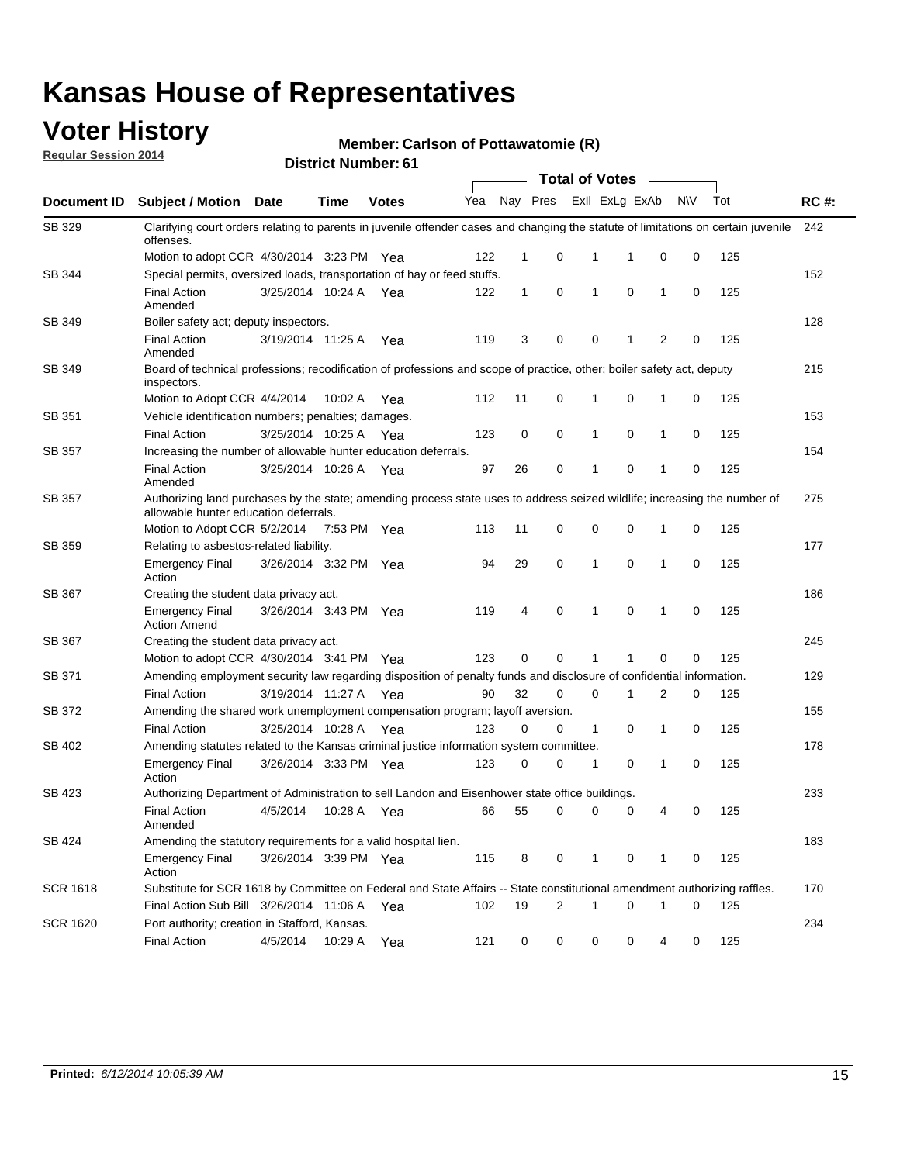### **Voter History**

**Regular Session 2014**

#### **Member: Carlson of Pottawatomie (R)**

|                 |                                                                                                                                                                    |                       |             |              | <b>Total of Votes</b> |              |   |              |                |              |           |     |             |
|-----------------|--------------------------------------------------------------------------------------------------------------------------------------------------------------------|-----------------------|-------------|--------------|-----------------------|--------------|---|--------------|----------------|--------------|-----------|-----|-------------|
|                 | Document ID Subject / Motion Date                                                                                                                                  |                       | Time        | <b>Votes</b> | Yea                   | Nay Pres     |   |              | Exll ExLg ExAb |              | <b>NV</b> | Tot | <b>RC#:</b> |
| SB 329          | Clarifying court orders relating to parents in juvenile offender cases and changing the statute of limitations on certain juvenile<br>offenses.                    |                       |             |              |                       |              |   |              |                |              |           |     | 242         |
|                 | Motion to adopt CCR 4/30/2014 3:23 PM Yea                                                                                                                          |                       |             |              | 122                   | $\mathbf 1$  | 0 | 1            | -1             | 0            | 0         | 125 |             |
| SB 344          | Special permits, oversized loads, transportation of hay or feed stuffs.                                                                                            |                       |             |              |                       |              |   |              |                |              |           |     | 152         |
|                 | <b>Final Action</b><br>Amended                                                                                                                                     | 3/25/2014 10:24 A     |             | Yea          | 122                   | $\mathbf{1}$ | 0 | $\mathbf{1}$ | 0              | $\mathbf{1}$ | 0         | 125 |             |
| <b>SB 349</b>   | Boiler safety act; deputy inspectors.                                                                                                                              |                       |             |              |                       |              |   |              |                |              |           |     | 128         |
|                 | <b>Final Action</b><br>Amended                                                                                                                                     | 3/19/2014 11:25 A     |             | Yea          | 119                   | 3            | 0 | 0            | 1              | 2            | 0         | 125 |             |
| SB 349          | Board of technical professions; recodification of professions and scope of practice, other; boiler safety act, deputy<br>inspectors.                               |                       |             |              |                       |              |   |              |                |              |           |     | 215         |
|                 | Motion to Adopt CCR 4/4/2014                                                                                                                                       |                       | 10:02 A     | Yea          | 112                   | 11           | 0 | 1            | 0              | 1            | 0         | 125 |             |
| SB 351          | Vehicle identification numbers; penalties; damages.                                                                                                                |                       |             |              |                       |              |   |              |                |              |           |     | 153         |
|                 | <b>Final Action</b>                                                                                                                                                | 3/25/2014 10:25 A     |             | Yea          | 123                   | 0            | 0 | 1            | 0              | 1            | 0         | 125 |             |
| SB 357          | Increasing the number of allowable hunter education deferrals.                                                                                                     |                       |             |              |                       |              |   |              |                |              |           |     | 154         |
|                 | <b>Final Action</b><br>Amended                                                                                                                                     | 3/25/2014 10:26 A     |             | Yea          | 97                    | 26           | 0 | $\mathbf{1}$ | 0              | 1            | 0         | 125 |             |
| SB 357          | Authorizing land purchases by the state; amending process state uses to address seized wildlife; increasing the number of<br>allowable hunter education deferrals. |                       |             |              |                       |              |   |              |                |              |           |     | 275         |
|                 | Motion to Adopt CCR 5/2/2014                                                                                                                                       |                       | 7:53 PM Yea |              | 113                   | 11           | 0 | 0            | $\mathbf 0$    | 1            | 0         | 125 |             |
| SB 359          | Relating to asbestos-related liability.                                                                                                                            |                       |             |              |                       |              |   |              |                |              |           | 177 |             |
|                 | <b>Emergency Final</b><br>Action                                                                                                                                   | 3/26/2014 3:32 PM Yea |             |              | 94                    | 29           | 0 | 1            | $\Omega$       | 1            | 0         | 125 |             |
| <b>SB 367</b>   | 186<br>Creating the student data privacy act.                                                                                                                      |                       |             |              |                       |              |   |              |                |              |           |     |             |
|                 | <b>Emergency Final</b><br><b>Action Amend</b>                                                                                                                      | 3/26/2014 3:43 PM Yea |             |              | 119                   | 4            | 0 | $\mathbf{1}$ | 0              | 1            | 0         | 125 |             |
| SB 367          | Creating the student data privacy act.                                                                                                                             |                       |             |              |                       |              |   |              |                |              |           |     | 245         |
|                 | Motion to adopt CCR 4/30/2014 3:41 PM Yea                                                                                                                          |                       |             |              | 123                   | 0            | 0 | 1            | 1              | 0            | 0         | 125 |             |
| SB 371          | Amending employment security law regarding disposition of penalty funds and disclosure of confidential information.                                                |                       |             |              |                       |              |   |              |                |              |           |     | 129         |
|                 | <b>Final Action</b>                                                                                                                                                | 3/19/2014 11:27 A     |             | Yea          | 90                    | 32           | 0 | $\mathbf 0$  | 1              | 2            | 0         | 125 |             |
| SB 372          | Amending the shared work unemployment compensation program; layoff aversion.                                                                                       |                       |             |              |                       |              |   |              |                |              |           |     | 155         |
|                 | <b>Final Action</b>                                                                                                                                                | 3/25/2014 10:28 A     |             | Yea          | 123                   | 0            | 0 | 1            | 0              | 1            | 0         | 125 |             |
| SB 402          | Amending statutes related to the Kansas criminal justice information system committee.                                                                             |                       |             |              |                       |              |   |              |                |              |           |     | 178         |
|                 | <b>Emergency Final</b><br>Action                                                                                                                                   | 3/26/2014 3:33 PM Yea |             |              | 123                   | 0            | 0 | 1            | 0              | $\mathbf{1}$ | 0         | 125 |             |
| SB 423          | Authorizing Department of Administration to sell Landon and Eisenhower state office buildings.                                                                     |                       |             |              |                       |              |   |              |                |              |           |     | 233         |
|                 | <b>Final Action</b><br>Amended                                                                                                                                     | 4/5/2014              | 10:28 A     | Yea          | 66                    | 55           | 0 | 0            | 0              | 4            | 0         | 125 |             |
| SB 424          | Amending the statutory requirements for a valid hospital lien.                                                                                                     |                       |             |              |                       |              |   |              |                |              |           |     | 183         |
|                 | <b>Emergency Final</b><br>Action                                                                                                                                   | 3/26/2014 3:39 PM Yea |             |              | 115                   | 8            | 0 | 1            | 0              | 1            | 0         | 125 |             |
| <b>SCR 1618</b> | Substitute for SCR 1618 by Committee on Federal and State Affairs -- State constitutional amendment authorizing raffles.                                           |                       |             |              |                       |              |   |              |                |              |           |     | 170         |
|                 | Final Action Sub Bill 3/26/2014 11:06 A Yea                                                                                                                        |                       |             |              | 102                   | 19           | 2 | 1            | 0              | 1            | 0         | 125 |             |
| <b>SCR 1620</b> | Port authority; creation in Stafford, Kansas.                                                                                                                      |                       |             |              |                       |              |   |              |                |              |           |     | 234         |
|                 | <b>Final Action</b>                                                                                                                                                | 4/5/2014              | 10:29 A     | Yea          | 121                   | 0            | 0 | 0            | 0              | 4            | 0         | 125 |             |